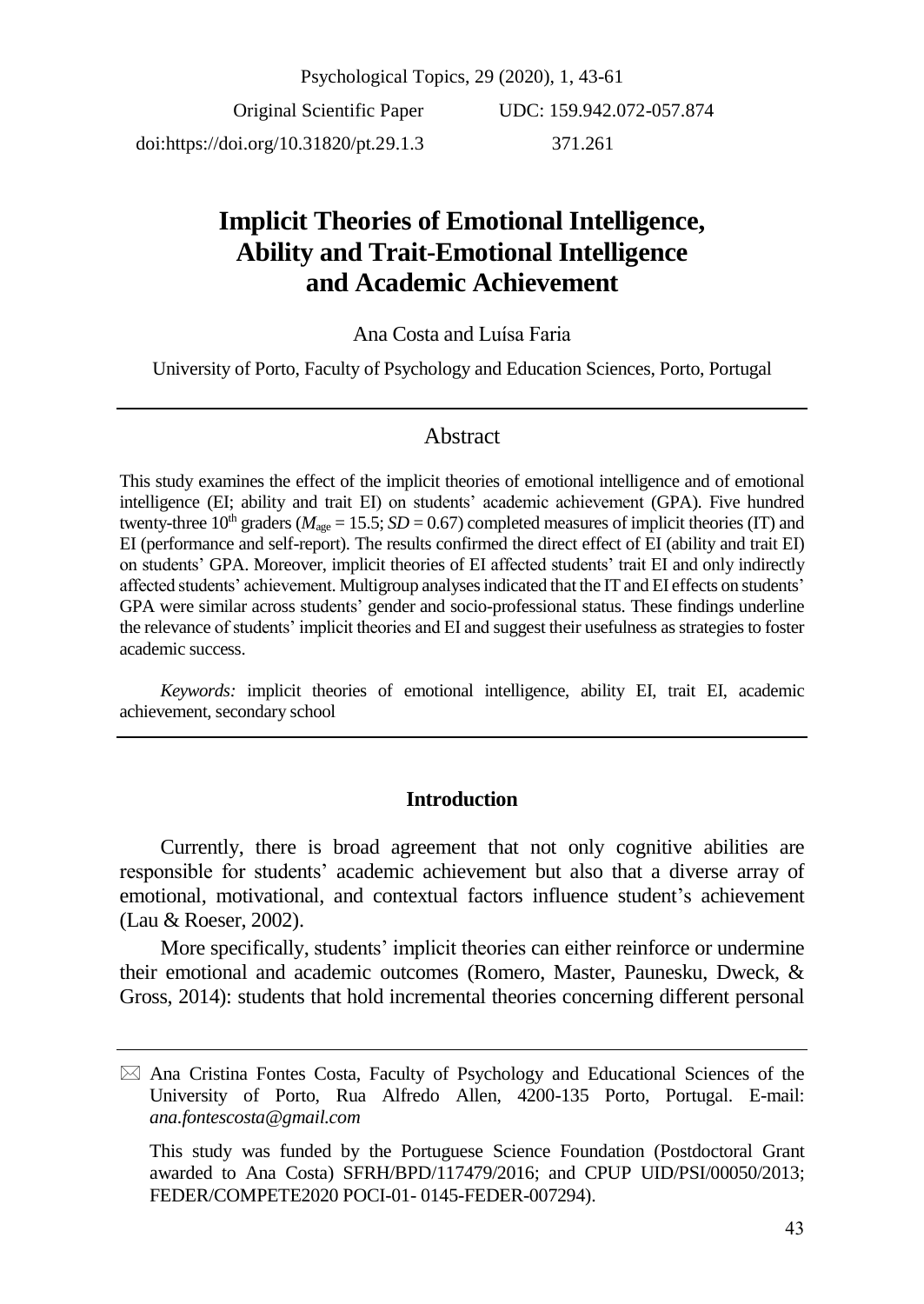Psychological Topics, 29 (2020), 1, 43-61 Original Scientific Paper doi:https://doi.org/10.31820/pt.29.1.3 UDC: 159.942.072-057.874 371.261

# **Implicit Theories of Emotional Intelligence, Ability and Trait-Emotional Intelligence and Academic Achievement**

#### Ana Costa and Luísa Faria

University of Porto, Faculty of Psychology and Education Sciences, Porto, Portugal

## Abstract

This study examines the effect of the implicit theories of emotional intelligence and of emotional intelligence (EI; ability and trait EI) on students' academic achievement (GPA). Five hundred twenty-three 10<sup>th</sup> graders ( $M_{\text{age}} = 15.5$ ;  $SD = 0.67$ ) completed measures of implicit theories (IT) and EI (performance and self-report). The results confirmed the direct effect of EI (ability and trait EI) on students' GPA. Moreover, implicit theories of EI affected students' trait EI and only indirectly affected students' achievement. Multigroup analyses indicated that the IT and EI effects on students' GPA were similar across students' gender and socio-professional status. These findings underline the relevance of students' implicit theories and EI and suggest their usefulness as strategies to foster academic success.

*Keywords:* implicit theories of emotional intelligence, ability EI, trait EI, academic achievement, secondary school

# **Introduction**

Currently, there is broad agreement that not only cognitive abilities are responsible for students' academic achievement but also that a diverse array of emotional, motivational, and contextual factors influence student's achievement (Lau & Roeser, 2002).

More specifically, students' implicit theories can either reinforce or undermine their emotional and academic outcomes (Romero, Master, Paunesku, Dweck, & Gross, 2014): students that hold incremental theories concerning different personal

 $\boxtimes$  Ana Cristina Fontes Costa, Faculty of Psychology and Educational Sciences of the University of Porto, Rua Alfredo Allen, 4200-135 Porto, Portugal. E-mail: *ana.fontescosta@gmail.com*

This study was funded by the Portuguese Science Foundation (Postdoctoral Grant awarded to Ana Costa) SFRH/BPD/117479/2016; and CPUP UID/PSI/00050/2013; FEDER/COMPETE2020 POCI-01- 0145-FEDER-007294).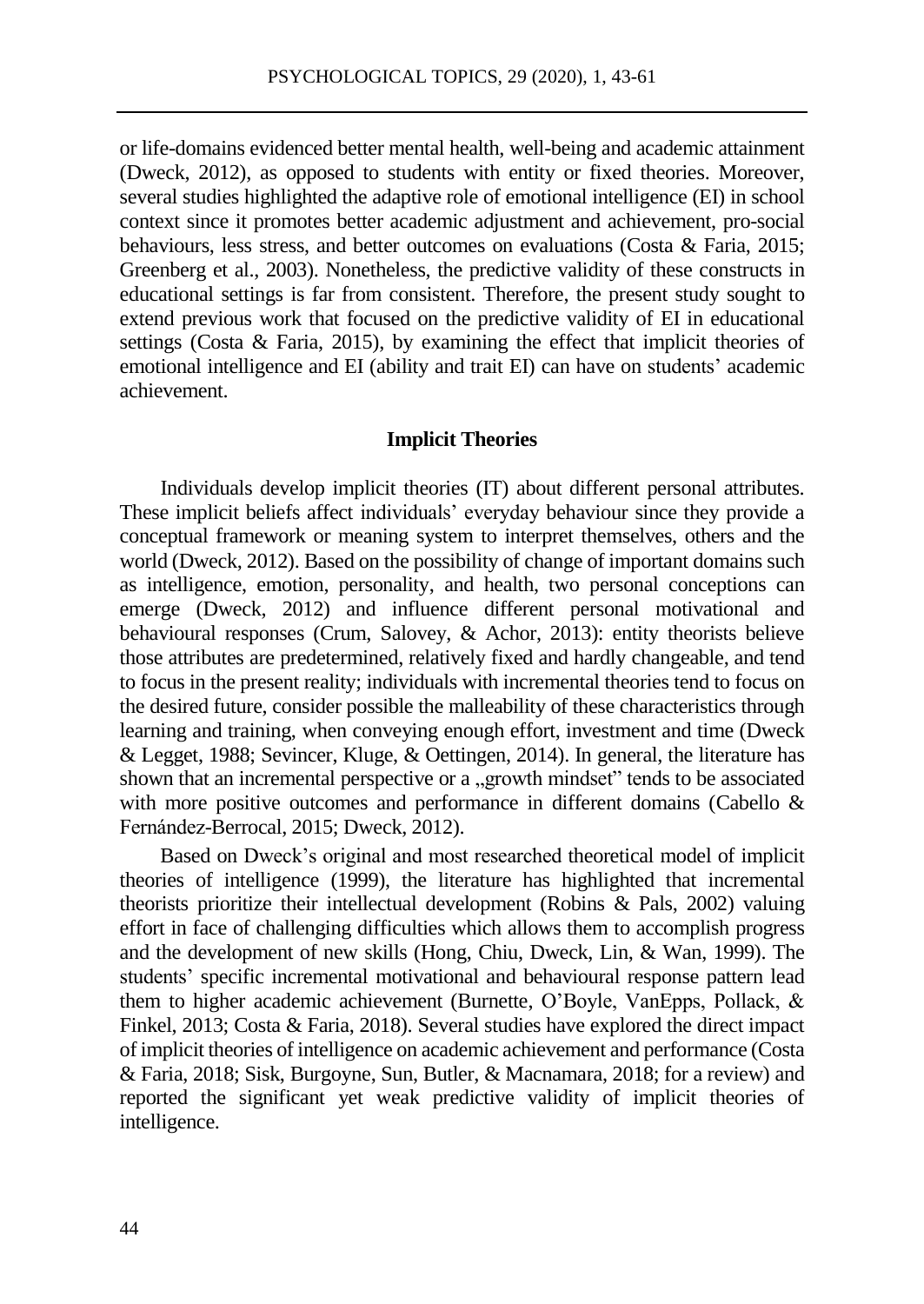or life-domains evidenced better mental health, well-being and academic attainment (Dweck, 2012), as opposed to students with entity or fixed theories. Moreover, several studies highlighted the adaptive role of emotional intelligence (EI) in school context since it promotes better academic adjustment and achievement, pro-social behaviours, less stress, and better outcomes on evaluations (Costa & Faria, 2015; Greenberg et al., 2003). Nonetheless, the predictive validity of these constructs in educational settings is far from consistent. Therefore, the present study sought to extend previous work that focused on the predictive validity of EI in educational settings (Costa & Faria, 2015), by examining the effect that implicit theories of emotional intelligence and EI (ability and trait EI) can have on students' academic achievement.

# **Implicit Theories**

Individuals develop implicit theories (IT) about different personal attributes. These implicit beliefs affect individuals' everyday behaviour since they provide a conceptual framework or meaning system to interpret themselves, others and the world (Dweck, 2012). Based on the possibility of change of important domains such as intelligence, emotion, personality, and health, two personal conceptions can emerge (Dweck, 2012) and influence different personal motivational and behavioural responses (Crum, Salovey, & Achor, 2013): entity theorists believe those attributes are predetermined, relatively fixed and hardly changeable, and tend to focus in the present reality; individuals with incremental theories tend to focus on the desired future, consider possible the malleability of these characteristics through learning and training, when conveying enough effort, investment and time (Dweck & Legget, 1988; Sevincer, Kluge, & Oettingen, 2014). In general, the literature has shown that an incremental perspective or a "growth mindset" tends to be associated with more positive outcomes and performance in different domains (Cabello  $\&$ Fernández-Berrocal, 2015; Dweck, 2012).

Based on Dweck's original and most researched theoretical model of implicit theories of intelligence (1999), the literature has highlighted that incremental theorists prioritize their intellectual development (Robins & Pals, 2002) valuing effort in face of challenging difficulties which allows them to accomplish progress and the development of new skills (Hong, Chiu, Dweck, Lin, & Wan, 1999). The students' specific incremental motivational and behavioural response pattern lead them to higher academic achievement (Burnette, O'Boyle, VanEpps, Pollack, & Finkel, 2013; Costa & Faria, 2018). Several studies have explored the direct impact of implicit theories of intelligence on academic achievement and performance (Costa & Faria, 2018; Sisk, Burgoyne, Sun, Butler, & Macnamara, 2018; for a review) and reported the significant yet weak predictive validity of implicit theories of intelligence.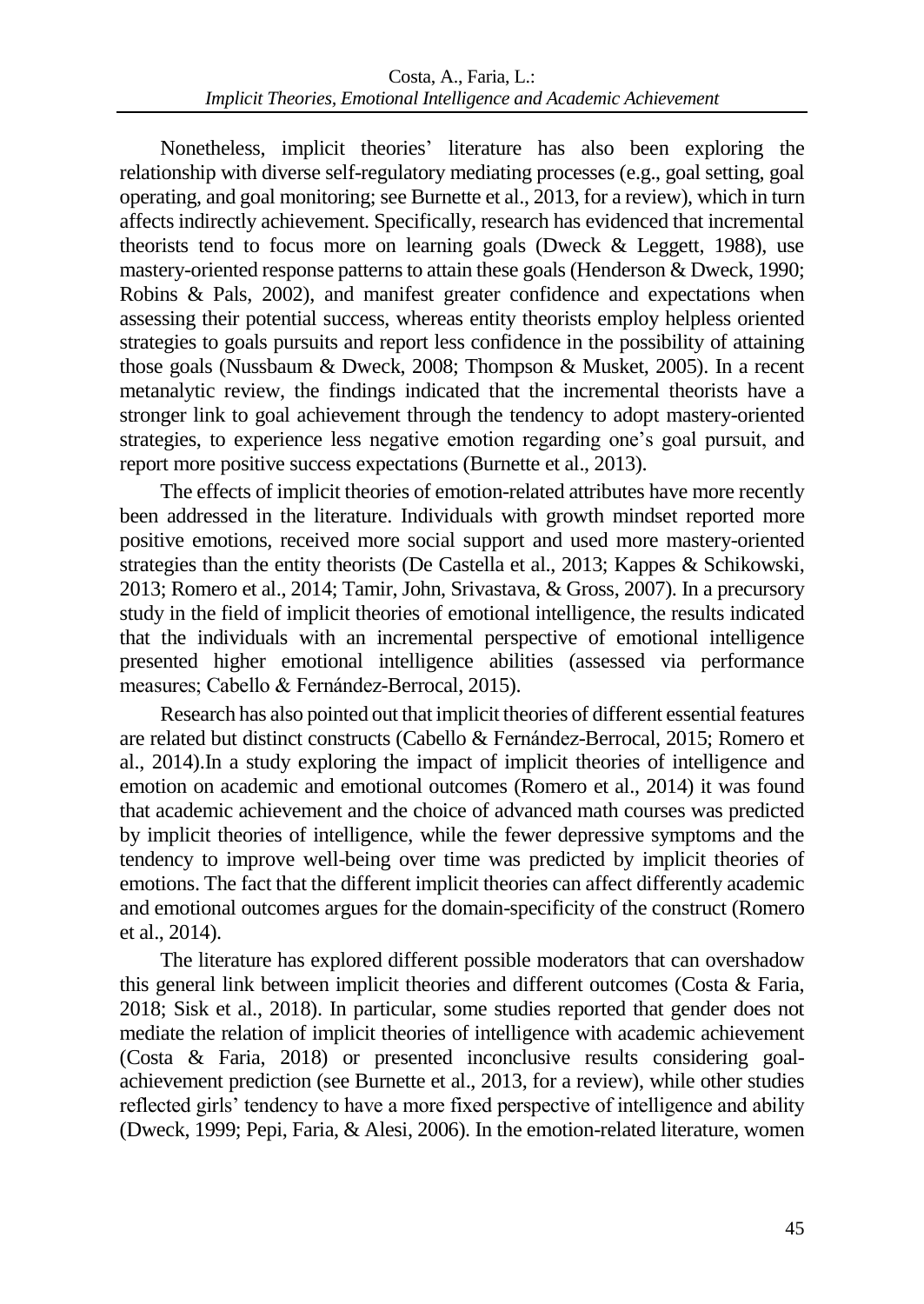Nonetheless, implicit theories' literature has also been exploring the relationship with diverse self-regulatory mediating processes (e.g., goal setting, goal operating, and goal monitoring; see Burnette et al., 2013, for a review), which in turn affects indirectly achievement. Specifically, research has evidenced that incremental theorists tend to focus more on learning goals (Dweck & Leggett, 1988), use mastery-oriented response patterns to attain these goals (Henderson & Dweck, 1990; Robins & Pals, 2002), and manifest greater confidence and expectations when assessing their potential success, whereas entity theorists employ helpless oriented strategies to goals pursuits and report less confidence in the possibility of attaining those goals (Nussbaum & Dweck, 2008; Thompson & Musket, 2005). In a recent metanalytic review, the findings indicated that the incremental theorists have a stronger link to goal achievement through the tendency to adopt mastery-oriented strategies, to experience less negative emotion regarding one's goal pursuit, and report more positive success expectations (Burnette et al., 2013).

The effects of implicit theories of emotion-related attributes have more recently been addressed in the literature. Individuals with growth mindset reported more positive emotions, received more social support and used more mastery-oriented strategies than the entity theorists (De Castella et al., 2013; Kappes & Schikowski, 2013; Romero et al., 2014; Tamir, John, Srivastava, & Gross, 2007). In a precursory study in the field of implicit theories of emotional intelligence, the results indicated that the individuals with an incremental perspective of emotional intelligence presented higher emotional intelligence abilities (assessed via performance measures; Cabello & Fernández-Berrocal, 2015).

Research has also pointed out that implicit theories of different essential features are related but distinct constructs (Cabello & Fernández-Berrocal, 2015; Romero et al., 2014).In a study exploring the impact of implicit theories of intelligence and emotion on academic and emotional outcomes (Romero et al., 2014) it was found that academic achievement and the choice of advanced math courses was predicted by implicit theories of intelligence, while the fewer depressive symptoms and the tendency to improve well-being over time was predicted by implicit theories of emotions. The fact that the different implicit theories can affect differently academic and emotional outcomes argues for the domain-specificity of the construct (Romero et al., 2014).

The literature has explored different possible moderators that can overshadow this general link between implicit theories and different outcomes (Costa & Faria, 2018; Sisk et al., 2018). In particular, some studies reported that gender does not mediate the relation of implicit theories of intelligence with academic achievement (Costa & Faria, 2018) or presented inconclusive results considering goalachievement prediction (see Burnette et al., 2013, for a review), while other studies reflected girls' tendency to have a more fixed perspective of intelligence and ability (Dweck, 1999; Pepi, Faria, & Alesi, 2006). In the emotion-related literature, women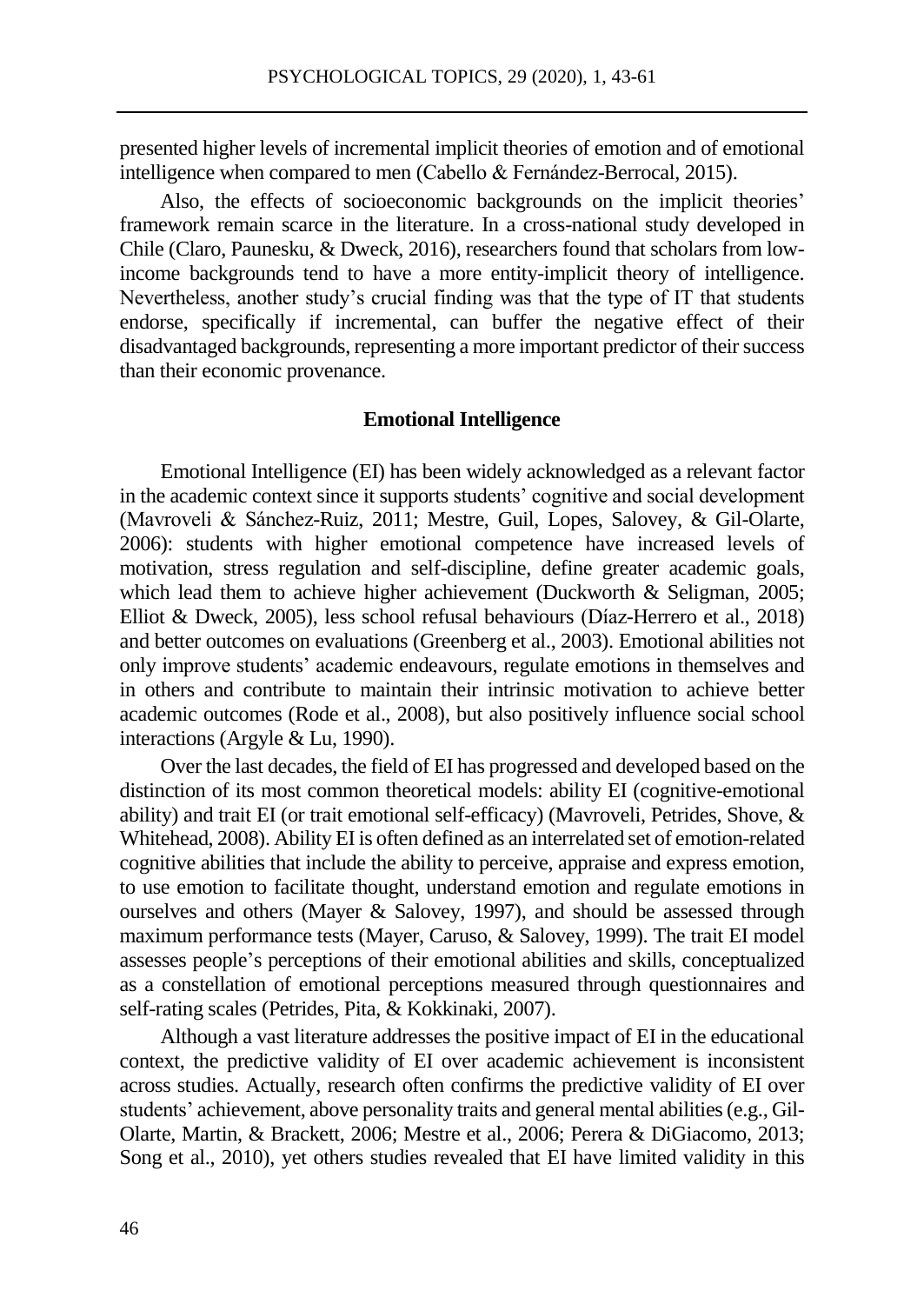presented higher levels of incremental implicit theories of emotion and of emotional intelligence when compared to men (Cabello & Fernández-Berrocal, 2015).

Also, the effects of socioeconomic backgrounds on the implicit theories' framework remain scarce in the literature. In a cross-national study developed in Chile (Claro, Paunesku, & Dweck, 2016), researchers found that scholars from lowincome backgrounds tend to have a more entity-implicit theory of intelligence. Nevertheless, another study's crucial finding was that the type of IT that students endorse, specifically if incremental, can buffer the negative effect of their disadvantaged backgrounds, representing a more important predictor of their success than their economic provenance.

# **Emotional Intelligence**

Emotional Intelligence (EI) has been widely acknowledged as a relevant factor in the academic context since it supports students' cognitive and social development (Mavroveli & Sánchez-Ruiz, 2011; Mestre, Guil, Lopes, Salovey, & Gil-Olarte, 2006): students with higher emotional competence have increased levels of motivation, stress regulation and self-discipline, define greater academic goals, which lead them to achieve higher achievement (Duckworth & Seligman, 2005; Elliot & Dweck, 2005), less school refusal behaviours (Díaz-Herrero et al., 2018) and better outcomes on evaluations (Greenberg et al., 2003). Emotional abilities not only improve students' academic endeavours, regulate emotions in themselves and in others and contribute to maintain their intrinsic motivation to achieve better academic outcomes (Rode et al., 2008), but also positively influence social school interactions (Argyle & Lu, 1990).

Over the last decades, the field of EI has progressed and developed based on the distinction of its most common theoretical models: ability EI (cognitive-emotional ability) and trait EI (or trait emotional self-efficacy) (Mavroveli, Petrides, Shove, & Whitehead, 2008). Ability EI is often defined as an interrelated set of emotion-related cognitive abilities that include the ability to perceive, appraise and express emotion, to use emotion to facilitate thought, understand emotion and regulate emotions in ourselves and others (Mayer & Salovey, 1997), and should be assessed through maximum performance tests (Mayer, Caruso, & Salovey, 1999). The trait EI model assesses people's perceptions of their emotional abilities and skills, conceptualized as a constellation of emotional perceptions measured through questionnaires and self-rating scales (Petrides, Pita, & Kokkinaki, 2007).

Although a vast literature addresses the positive impact of EI in the educational context, the predictive validity of EI over academic achievement is inconsistent across studies. Actually, research often confirms the predictive validity of EI over students' achievement, above personality traits and general mental abilities (e.g., Gil-Olarte, Martin, & Brackett, 2006; Mestre et al., 2006; Perera & DiGiacomo, 2013; Song et al., 2010), yet others studies revealed that EI have limited validity in this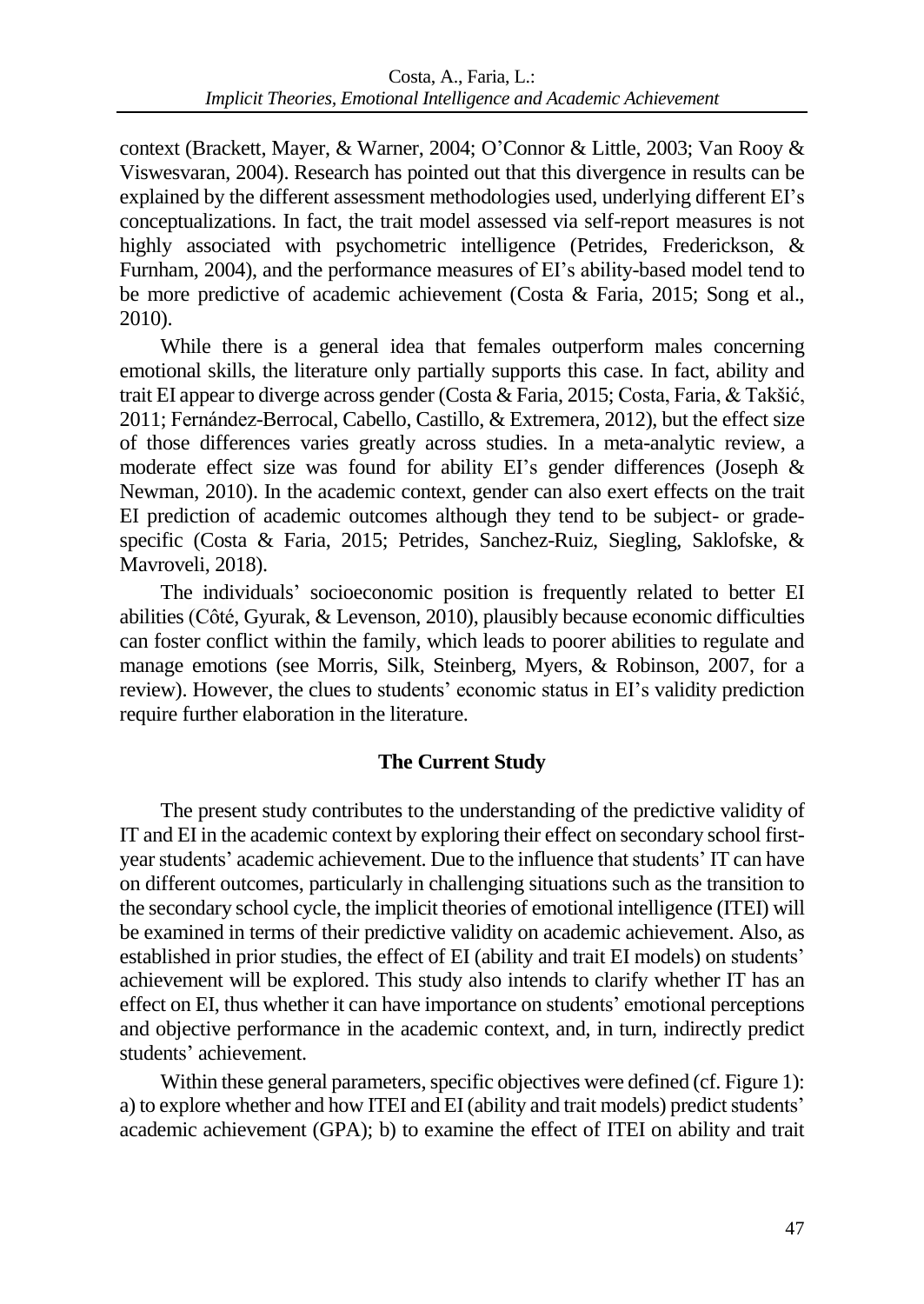context (Brackett, Mayer, & Warner, 2004; O'Connor & Little, 2003; Van Rooy & Viswesvaran, 2004). Research has pointed out that this divergence in results can be explained by the different assessment methodologies used, underlying different EI's conceptualizations. In fact, the trait model assessed via self-report measures is not highly associated with psychometric intelligence (Petrides, Frederickson, & Furnham, 2004), and the performance measures of EI's ability-based model tend to be more predictive of academic achievement (Costa & Faria, 2015; Song et al., 2010).

While there is a general idea that females outperform males concerning emotional skills, the literature only partially supports this case. In fact, ability and trait EI appear to diverge across gender (Costa & Faria, 2015; Costa, Faria, & Takšić, 2011; Fernández-Berrocal, Cabello, Castillo, & Extremera, 2012), but the effect size of those differences varies greatly across studies. In a meta-analytic review, a moderate effect size was found for ability EI's gender differences (Joseph & Newman, 2010). In the academic context, gender can also exert effects on the trait EI prediction of academic outcomes although they tend to be subject- or gradespecific (Costa & Faria, 2015; Petrides, Sanchez-Ruiz, Siegling, Saklofske, & Mavroveli, 2018).

The individuals' socioeconomic position is frequently related to better EI abilities (Côté, Gyurak, & Levenson, 2010), plausibly because economic difficulties can foster conflict within the family, which leads to poorer abilities to regulate and manage emotions (see Morris, Silk, Steinberg, Myers, & Robinson, 2007, for a review). However, the clues to students' economic status in EI's validity prediction require further elaboration in the literature.

# **The Current Study**

The present study contributes to the understanding of the predictive validity of IT and EI in the academic context by exploring their effect on secondary school firstyear students' academic achievement. Due to the influence that students' IT can have on different outcomes, particularly in challenging situations such as the transition to the secondary school cycle, the implicit theories of emotional intelligence (ITEI) will be examined in terms of their predictive validity on academic achievement. Also, as established in prior studies, the effect of EI (ability and trait EI models) on students' achievement will be explored. This study also intends to clarify whether IT has an effect on EI, thus whether it can have importance on students' emotional perceptions and objective performance in the academic context, and, in turn, indirectly predict students' achievement.

Within these general parameters, specific objectives were defined (cf. Figure 1): a) to explore whether and how ITEI and EI (ability and trait models) predict students' academic achievement (GPA); b) to examine the effect of ITEI on ability and trait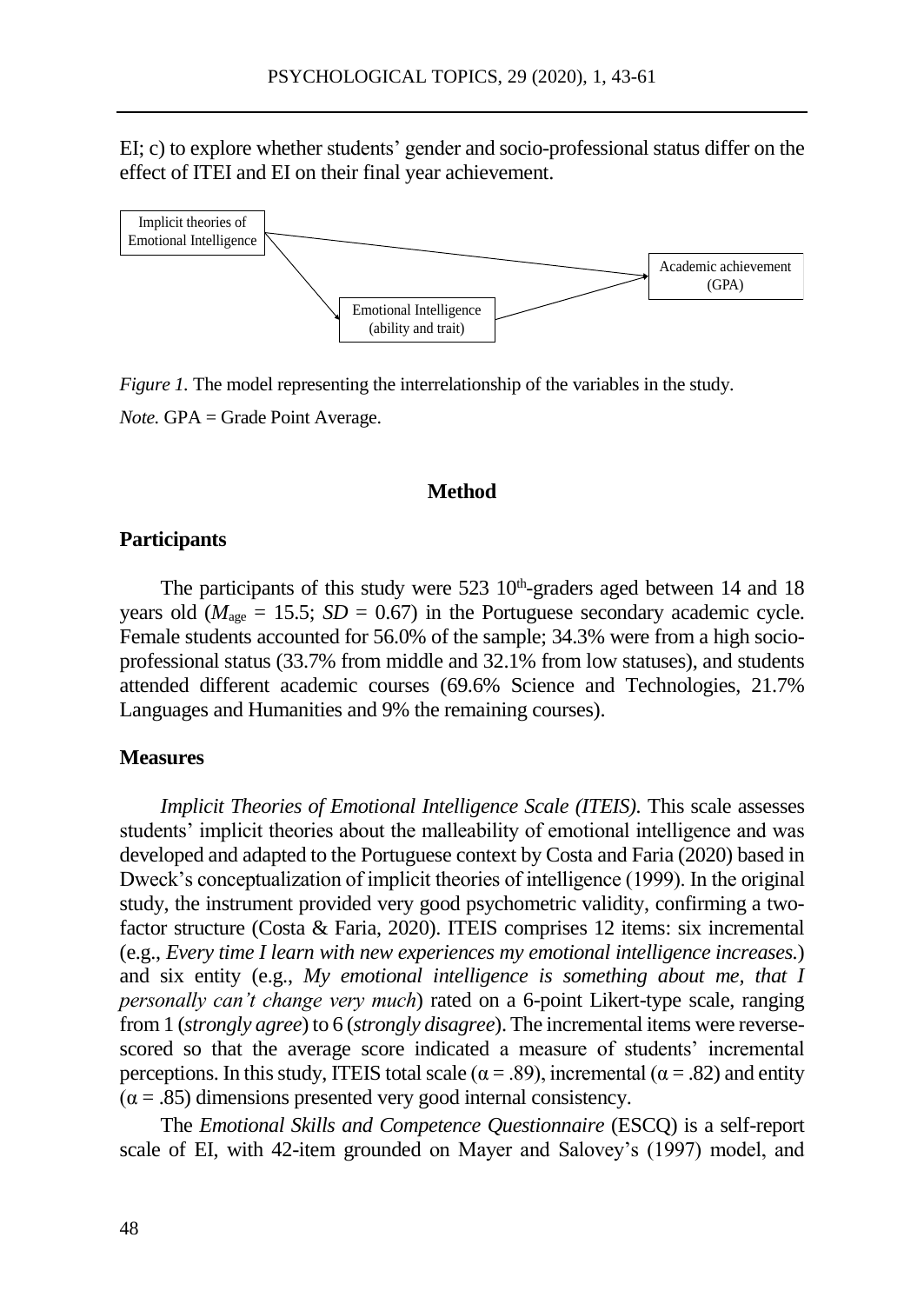EI; c) to explore whether students' gender and socio-professional status differ on the effect of ITEI and EI on their final year achievement.



*Figure* 1. The model representing the interrelationship of the variables in the study.

*Note.* GPA = Grade Point Average.

# **Method**

#### **Participants**

The participants of this study were  $523 \, 10^{\text{th}}$ -graders aged between 14 and 18 years old  $(M<sub>age</sub> = 15.5; SD = 0.67)$  in the Portuguese secondary academic cycle. Female students accounted for 56.0% of the sample; 34.3% were from a high socioprofessional status (33.7% from middle and 32.1% from low statuses), and students attended different academic courses (69.6% Science and Technologies, 21.7% Languages and Humanities and 9% the remaining courses).

# **Measures**

*Implicit Theories of Emotional Intelligence Scale (ITEIS).* This scale assesses students' implicit theories about the malleability of emotional intelligence and was developed and adapted to the Portuguese context by Costa and Faria (2020) based in Dweck's conceptualization of implicit theories of intelligence (1999). In the original study, the instrument provided very good psychometric validity, confirming a twofactor structure (Costa & Faria, 2020). ITEIS comprises 12 items: six incremental (e.g., *Every time I learn with new experiences my emotional intelligence increases.*) and six entity (e.g., *My emotional intelligence is something about me, that I personally can't change very much*) rated on a 6-point Likert-type scale, ranging from 1 (*strongly agree*) to 6 (*strongly disagree*). The incremental items were reversescored so that the average score indicated a measure of students' incremental perceptions. In this study, ITEIS total scale ( $\alpha = .89$ ), incremental ( $\alpha = .82$ ) and entity  $(\alpha = .85)$  dimensions presented very good internal consistency.

The *Emotional Skills and Competence Questionnaire* (ESCQ) is a self-report scale of EI, with 42-item grounded on Mayer and Salovey's (1997) model, and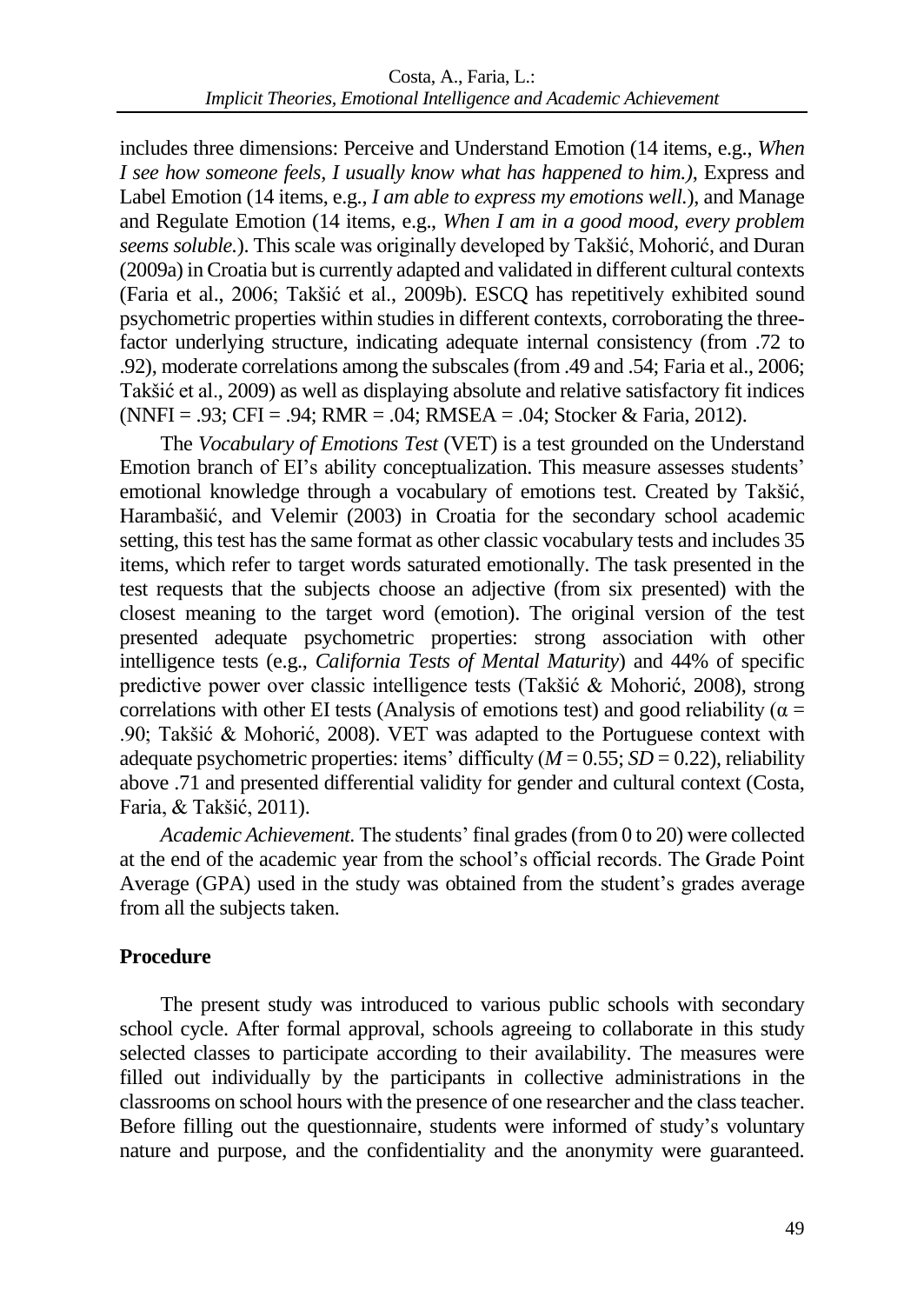includes three dimensions: Perceive and Understand Emotion (14 items, e.g., *When I see how someone feels, I usually know what has happened to him.)*, Express and Label Emotion (14 items, e.g., *I am able to express my emotions well.*), and Manage and Regulate Emotion (14 items, e.g., *When I am in a good mood, every problem seems soluble.*). This scale was originally developed by Takšić, Mohorić, and Duran (2009a) in Croatia but is currently adapted and validated in different cultural contexts (Faria et al., 2006; Takšić et al., 2009b). ESCQ has repetitively exhibited sound psychometric properties within studies in different contexts, corroborating the threefactor underlying structure, indicating adequate internal consistency (from .72 to .92), moderate correlations among the subscales (from .49 and .54; Faria et al., 2006; Takšić et al., 2009) as well as displaying absolute and relative satisfactory fit indices  $(NNFI = .93; CFI = .94; RMR = .04; RMSEA = .04; Stocker & Faria, 2012).$ 

The *Vocabulary of Emotions Test* (VET) is a test grounded on the Understand Emotion branch of EI's ability conceptualization. This measure assesses students' emotional knowledge through a vocabulary of emotions test. Created by Takšić, Harambašić, and Velemir (2003) in Croatia for the secondary school academic setting, this test has the same format as other classic vocabulary tests and includes 35 items, which refer to target words saturated emotionally. The task presented in the test requests that the subjects choose an adjective (from six presented) with the closest meaning to the target word (emotion). The original version of the test presented adequate psychometric properties: strong association with other intelligence tests (e.g., *California Tests of Mental Maturity*) and 44% of specific predictive power over classic intelligence tests (Takšić & Mohorić, 2008), strong correlations with other EI tests (Analysis of emotions test) and good reliability ( $\alpha$  = .90; Takšić & Mohorić, 2008). VET was adapted to the Portuguese context with adequate psychometric properties: items' difficulty  $(M = 0.55; SD = 0.22)$ , reliability above .71 and presented differential validity for gender and cultural context (Costa, Faria, & Takšić, 2011).

*Academic Achievement.* The students' final grades (from 0 to 20) were collected at the end of the academic year from the school's official records. The Grade Point Average (GPA) used in the study was obtained from the student's grades average from all the subjects taken.

# **Procedure**

The present study was introduced to various public schools with secondary school cycle. After formal approval, schools agreeing to collaborate in this study selected classes to participate according to their availability. The measures were filled out individually by the participants in collective administrations in the classrooms on school hours with the presence of one researcher and the class teacher. Before filling out the questionnaire, students were informed of study's voluntary nature and purpose, and the confidentiality and the anonymity were guaranteed.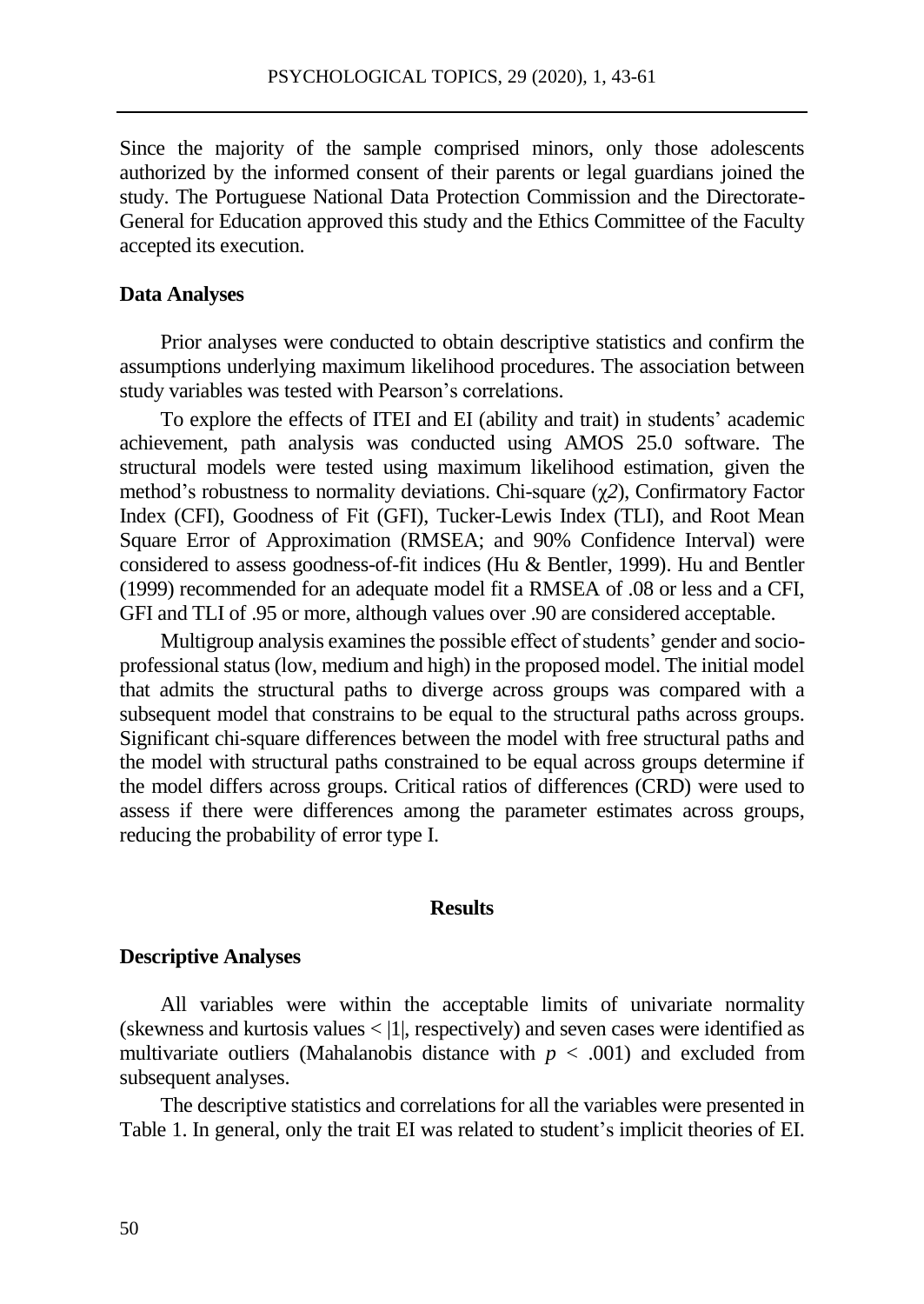Since the majority of the sample comprised minors, only those adolescents authorized by the informed consent of their parents or legal guardians joined the study. The Portuguese National Data Protection Commission and the Directorate-General for Education approved this study and the Ethics Committee of the Faculty accepted its execution.

#### **Data Analyses**

Prior analyses were conducted to obtain descriptive statistics and confirm the assumptions underlying maximum likelihood procedures. The association between study variables was tested with Pearson's correlations.

To explore the effects of ITEI and EI (ability and trait) in students' academic achievement, path analysis was conducted using AMOS 25.0 software. The structural models were tested using maximum likelihood estimation, given the method's robustness to normality deviations. Chi-square (χ*2*), Confirmatory Factor Index (CFI), Goodness of Fit (GFI), Tucker-Lewis Index (TLI), and Root Mean Square Error of Approximation (RMSEA; and 90% Confidence Interval) were considered to assess goodness-of-fit indices (Hu & Bentler, 1999). Hu and Bentler (1999) recommended for an adequate model fit a RMSEA of .08 or less and a CFI, GFI and TLI of .95 or more, although values over .90 are considered acceptable.

Multigroup analysis examines the possible effect of students' gender and socioprofessional status (low, medium and high) in the proposed model. The initial model that admits the structural paths to diverge across groups was compared with a subsequent model that constrains to be equal to the structural paths across groups. Significant chi-square differences between the model with free structural paths and the model with structural paths constrained to be equal across groups determine if the model differs across groups. Critical ratios of differences (CRD) were used to assess if there were differences among the parameter estimates across groups, reducing the probability of error type I.

# **Results**

#### **Descriptive Analyses**

All variables were within the acceptable limits of univariate normality (skewness and kurtosis values  $\langle 1|$ , respectively) and seven cases were identified as multivariate outliers (Mahalanobis distance with  $p < .001$ ) and excluded from subsequent analyses.

The descriptive statistics and correlations for all the variables were presented in Table 1. In general, only the trait EI was related to student's implicit theories of EI.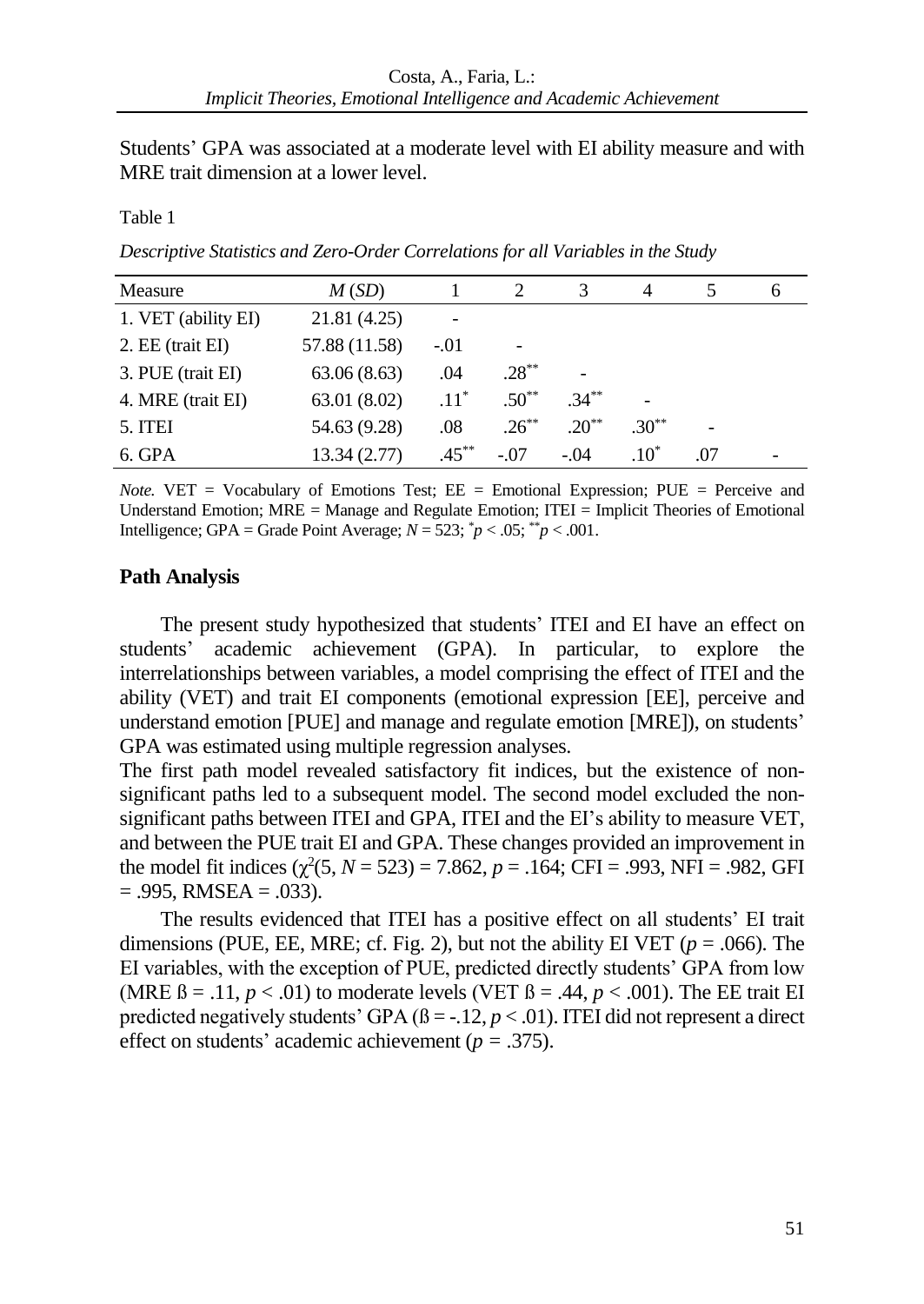Students' GPA was associated at a moderate level with EI ability measure and with MRE trait dimension at a lower level.

Table 1

*Descriptive Statistics and Zero-Order Correlations for all Variables in the Study*

| Measure             | M(SD)         |          | 2          | 3          | 4       |                   | 6 |
|---------------------|---------------|----------|------------|------------|---------|-------------------|---|
| 1. VET (ability EI) | 21.81 (4.25)  |          |            |            |         |                   |   |
| 2. EE (trait EI)    | 57.88 (11.58) | $-.01$   |            |            |         |                   |   |
| 3. PUE (trait EI)   | 63.06(8.63)   | .04      | $.28***$   |            |         |                   |   |
| 4. MRE (trait EI)   | 63.01 (8.02)  | $.11*$   | $.50^{**}$ | $.34***$   |         |                   |   |
| 5. ITEI             | 54.63 (9.28)  | .08      | $.26***$   | $.20^{**}$ | $.30**$ | $\qquad \qquad -$ |   |
| 6. GPA              | 13.34(2.77)   | $.45***$ | $-.07$     | $-.04$     | $.10*$  | .07               |   |

*Note.*  $VET = Vocabularv$  of Emotions Test:  $EE = E$  motional Expression:  $PUE = P$ erceive and Understand Emotion; MRE = Manage and Regulate Emotion; ITEI = Implicit Theories of Emotional Intelligence; GPA = Grade Point Average;  $N = 523$ ;  $p < .05$ ;  $p < .001$ .

# **Path Analysis**

The present study hypothesized that students' ITEI and EI have an effect on students' academic achievement (GPA). In particular, to explore the interrelationships between variables, a model comprising the effect of ITEI and the ability (VET) and trait EI components (emotional expression [EE], perceive and understand emotion [PUE] and manage and regulate emotion [MRE]), on students' GPA was estimated using multiple regression analyses.

The first path model revealed satisfactory fit indices, but the existence of nonsignificant paths led to a subsequent model. The second model excluded the nonsignificant paths between ITEI and GPA, ITEI and the EI's ability to measure VET, and between the PUE trait EI and GPA. These changes provided an improvement in the model fit indices  $(\chi^2(5, N = 523) = 7.862, p = .164; CFT = .993, NFT = .982, GFI)$  $= .995$ , RMSEA  $= .033$ ).

The results evidenced that ITEI has a positive effect on all students' EI trait dimensions (PUE, EE, MRE; cf. Fig. 2), but not the ability EI VET ( $p = .066$ ). The EI variables, with the exception of PUE, predicted directly students' GPA from low (MRE  $\beta = .11$ ,  $p < .01$ ) to moderate levels (VET  $\beta = .44$ ,  $p < .001$ ). The EE trait EI predicted negatively students' GPA  $(\beta = -12, p < .01)$ . ITEI did not represent a direct effect on students' academic achievement ( $p = .375$ ).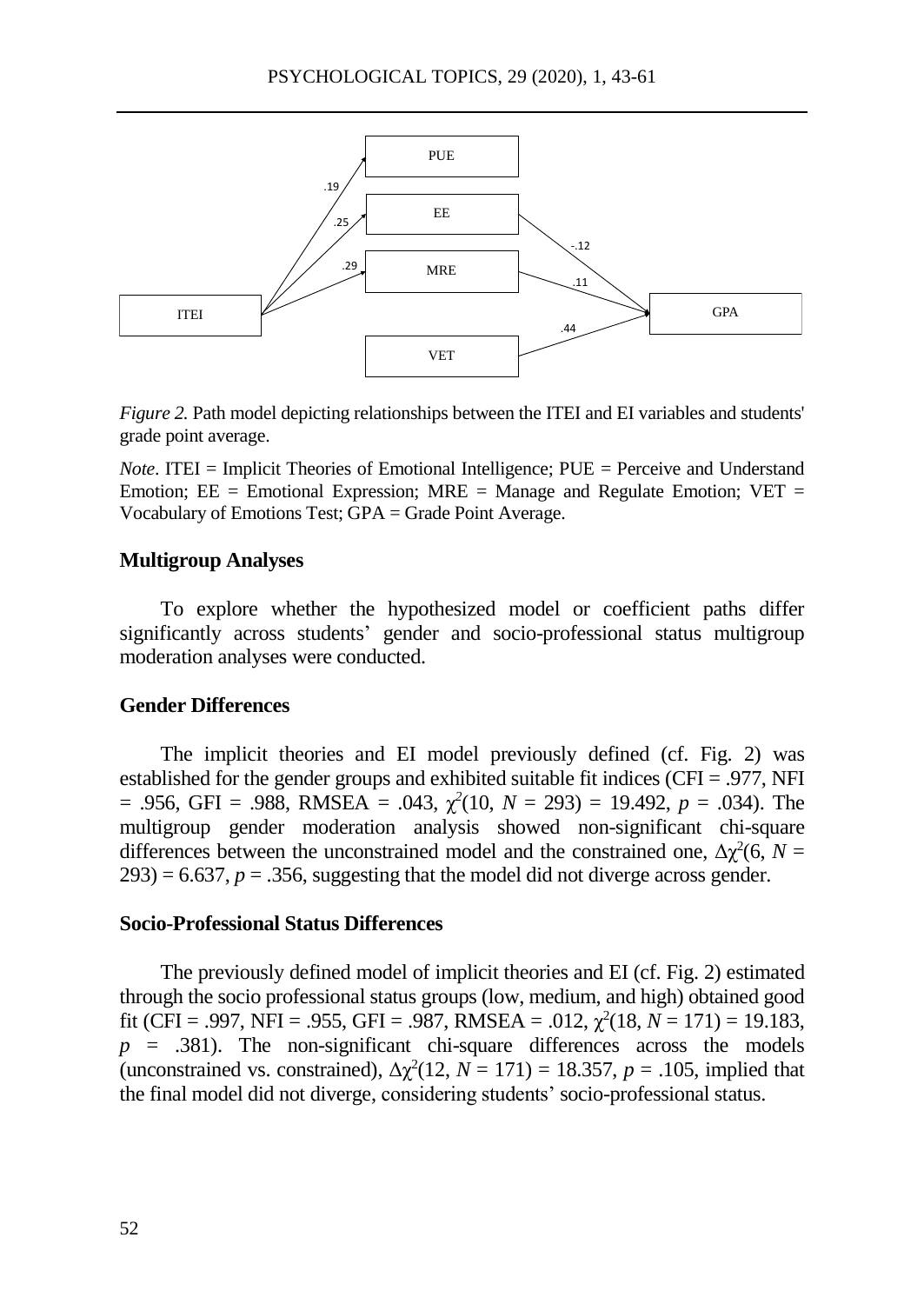

*Figure 2.* Path model depicting relationships between the ITEI and EI variables and students' grade point average.

*Note*. ITEI = Implicit Theories of Emotional Intelligence; PUE = Perceive and Understand Emotion;  $EE =$  Emotional Expression;  $MRE =$  Manage and Regulate Emotion;  $VET =$ Vocabulary of Emotions Test; GPA = Grade Point Average.

#### **Multigroup Analyses**

To explore whether the hypothesized model or coefficient paths differ significantly across students' gender and socio-professional status multigroup moderation analyses were conducted.

# **Gender Differences**

The implicit theories and EI model previously defined (cf. Fig. 2) was established for the gender groups and exhibited suitable fit indices (CFI = .977, NFI  $= .956$ , GFI = .988, RMSEA = .043,  $\chi^2(10, N = 293) = 19.492$ ,  $p = .034$ ). The multigroup gender moderation analysis showed non-significant chi-square differences between the unconstrained model and the constrained one,  $\Delta \chi^2(6, N =$  $293$ ) = 6.637,  $p = 0.356$ , suggesting that the model did not diverge across gender.

#### **Socio-Professional Status Differences**

The previously defined model of implicit theories and EI (cf. Fig. 2) estimated through the socio professional status groups (low, medium, and high) obtained good fit (CFI = .997, NFI = .955, GFI = .987, RMSEA = .012,  $\chi^2(18, N = 171) = 19.183$ ,  $p = .381$ ). The non-significant chi-square differences across the models (unconstrained vs. constrained),  $\Delta \chi^2(12, N = 171) = 18.357$ ,  $p = .105$ , implied that the final model did not diverge, considering students' socio-professional status.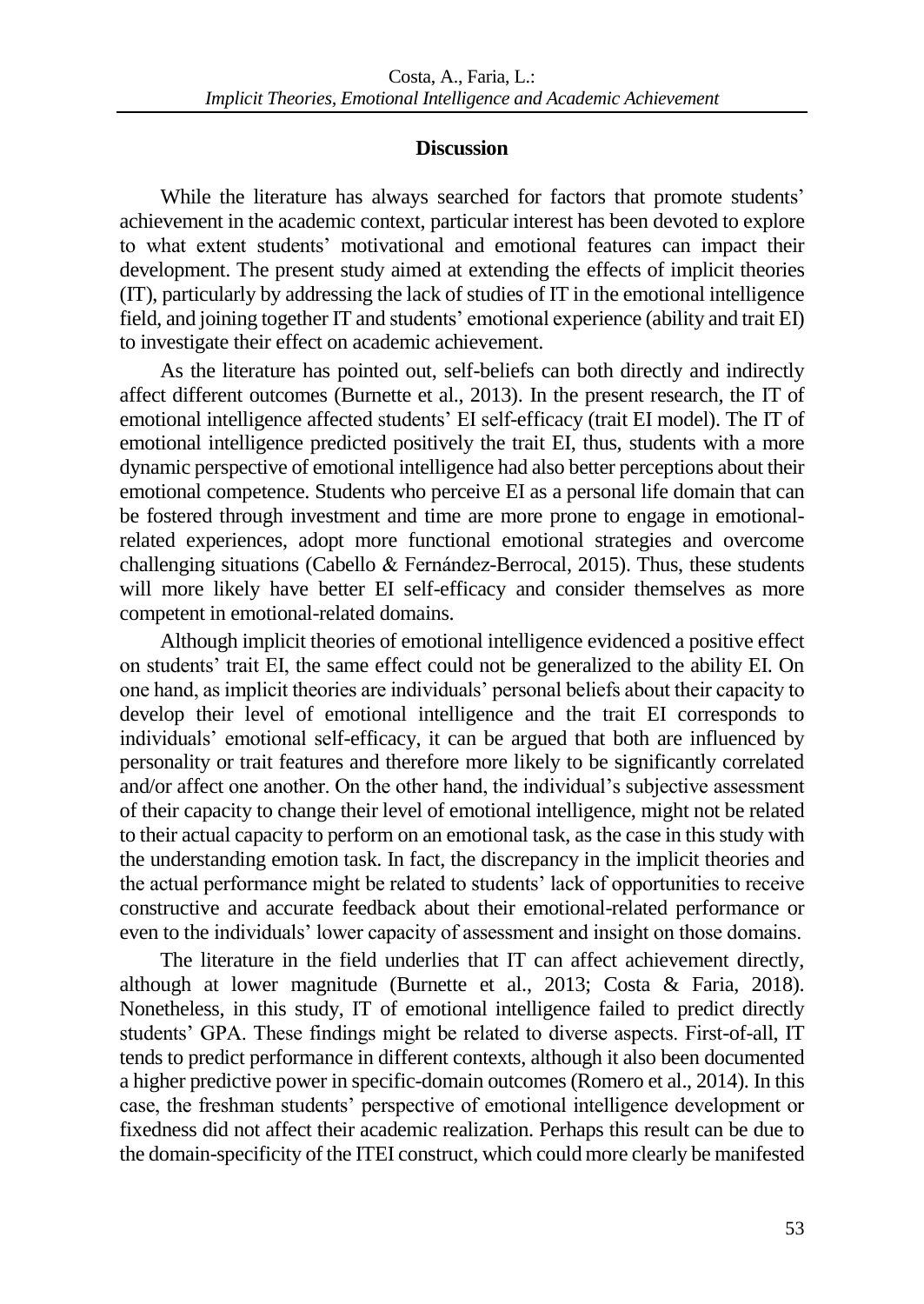# **Discussion**

While the literature has always searched for factors that promote students' achievement in the academic context, particular interest has been devoted to explore to what extent students' motivational and emotional features can impact their development. The present study aimed at extending the effects of implicit theories (IT), particularly by addressing the lack of studies of IT in the emotional intelligence field, and joining together IT and students' emotional experience (ability and trait EI) to investigate their effect on academic achievement.

As the literature has pointed out, self-beliefs can both directly and indirectly affect different outcomes (Burnette et al., 2013). In the present research, the IT of emotional intelligence affected students' EI self-efficacy (trait EI model). The IT of emotional intelligence predicted positively the trait EI, thus, students with a more dynamic perspective of emotional intelligence had also better perceptions about their emotional competence. Students who perceive EI as a personal life domain that can be fostered through investment and time are more prone to engage in emotionalrelated experiences, adopt more functional emotional strategies and overcome challenging situations (Cabello & Fernández-Berrocal, 2015). Thus, these students will more likely have better EI self-efficacy and consider themselves as more competent in emotional-related domains.

Although implicit theories of emotional intelligence evidenced a positive effect on students' trait EI, the same effect could not be generalized to the ability EI. On one hand, as implicit theories are individuals' personal beliefs about their capacity to develop their level of emotional intelligence and the trait EI corresponds to individuals' emotional self-efficacy, it can be argued that both are influenced by personality or trait features and therefore more likely to be significantly correlated and/or affect one another. On the other hand, the individual's subjective assessment of their capacity to change their level of emotional intelligence, might not be related to their actual capacity to perform on an emotional task, as the case in this study with the understanding emotion task. In fact, the discrepancy in the implicit theories and the actual performance might be related to students' lack of opportunities to receive constructive and accurate feedback about their emotional-related performance or even to the individuals' lower capacity of assessment and insight on those domains.

The literature in the field underlies that IT can affect achievement directly, although at lower magnitude (Burnette et al., 2013; Costa & Faria, 2018). Nonetheless, in this study, IT of emotional intelligence failed to predict directly students' GPA. These findings might be related to diverse aspects. First-of-all, IT tends to predict performance in different contexts, although it also been documented a higher predictive power in specific-domain outcomes (Romero et al., 2014). In this case, the freshman students' perspective of emotional intelligence development or fixedness did not affect their academic realization. Perhaps this result can be due to the domain-specificity of the ITEI construct, which could more clearly be manifested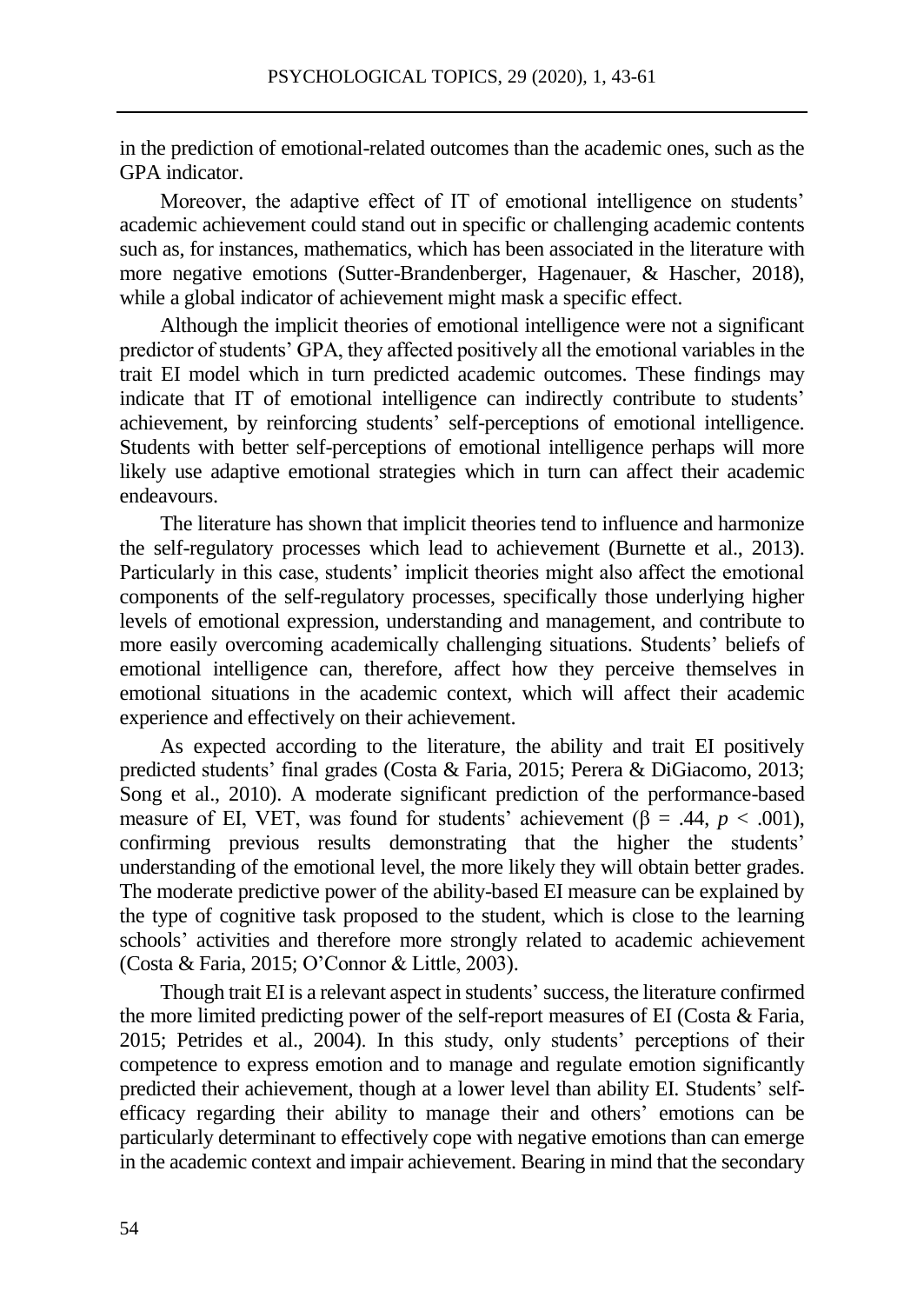in the prediction of emotional-related outcomes than the academic ones, such as the GPA indicator.

Moreover, the adaptive effect of IT of emotional intelligence on students' academic achievement could stand out in specific or challenging academic contents such as, for instances, mathematics, which has been associated in the literature with more negative emotions (Sutter-Brandenberger, Hagenauer, & Hascher, 2018), while a global indicator of achievement might mask a specific effect.

Although the implicit theories of emotional intelligence were not a significant predictor of students' GPA, they affected positively all the emotional variables in the trait EI model which in turn predicted academic outcomes. These findings may indicate that IT of emotional intelligence can indirectly contribute to students' achievement, by reinforcing students' self-perceptions of emotional intelligence. Students with better self-perceptions of emotional intelligence perhaps will more likely use adaptive emotional strategies which in turn can affect their academic endeavours.

The literature has shown that implicit theories tend to influence and harmonize the self-regulatory processes which lead to achievement (Burnette et al., 2013). Particularly in this case, students' implicit theories might also affect the emotional components of the self-regulatory processes, specifically those underlying higher levels of emotional expression, understanding and management, and contribute to more easily overcoming academically challenging situations. Students' beliefs of emotional intelligence can, therefore, affect how they perceive themselves in emotional situations in the academic context, which will affect their academic experience and effectively on their achievement.

As expected according to the literature, the ability and trait EI positively predicted students' final grades (Costa & Faria, 2015; Perera & DiGiacomo, 2013; Song et al., 2010). A moderate significant prediction of the performance-based measure of EI, VET, was found for students' achievement ( $\beta$  = .44, *p* < .001), confirming previous results demonstrating that the higher the students' understanding of the emotional level, the more likely they will obtain better grades. The moderate predictive power of the ability-based EI measure can be explained by the type of cognitive task proposed to the student, which is close to the learning schools' activities and therefore more strongly related to academic achievement (Costa & Faria, 2015; O'Connor & Little, 2003).

Though trait EI is a relevant aspect in students' success, the literature confirmed the more limited predicting power of the self-report measures of EI (Costa & Faria, 2015; Petrides et al., 2004). In this study, only students' perceptions of their competence to express emotion and to manage and regulate emotion significantly predicted their achievement, though at a lower level than ability EI. Students' selfefficacy regarding their ability to manage their and others' emotions can be particularly determinant to effectively cope with negative emotions than can emerge in the academic context and impair achievement. Bearing in mind that the secondary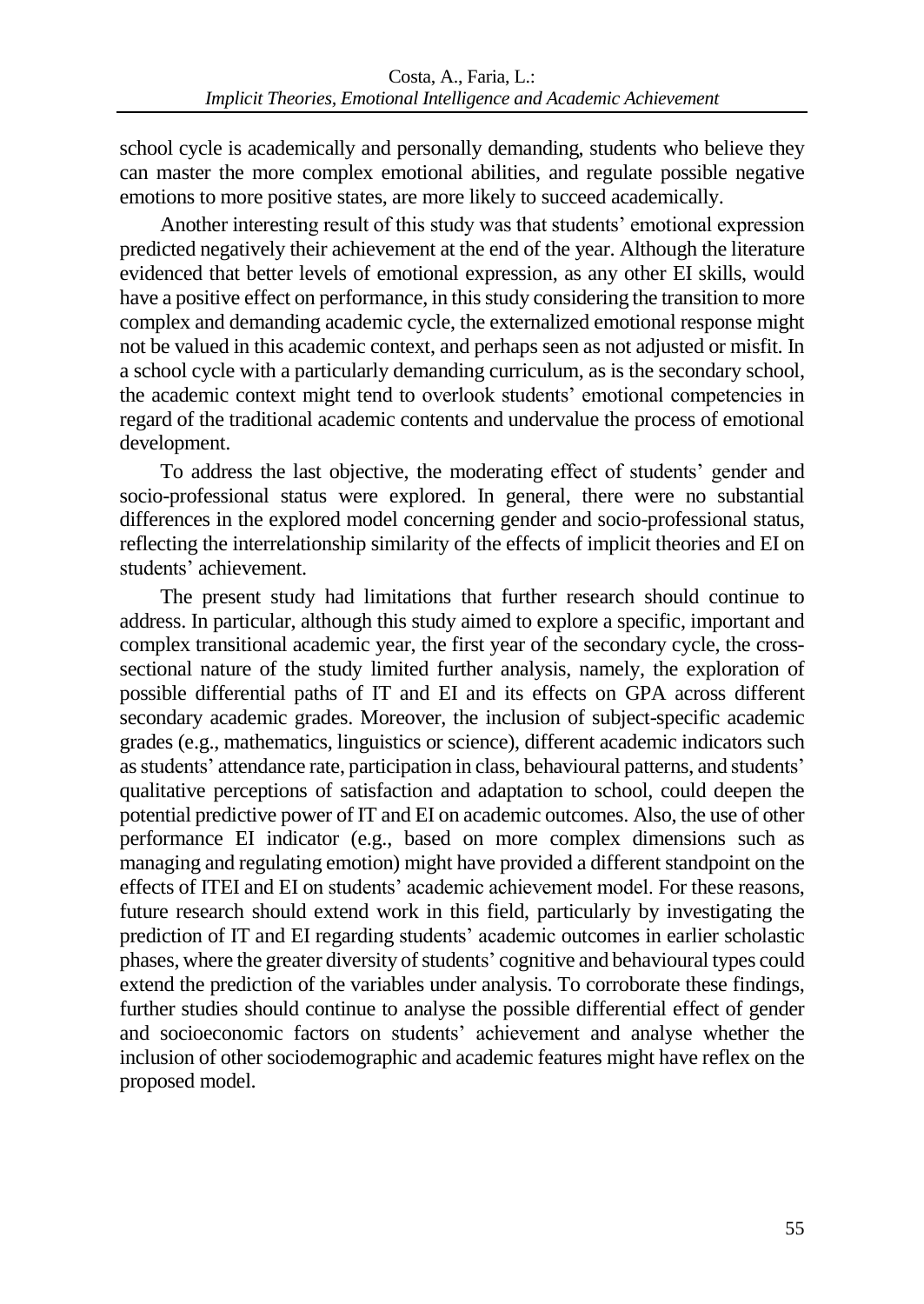school cycle is academically and personally demanding, students who believe they can master the more complex emotional abilities, and regulate possible negative emotions to more positive states, are more likely to succeed academically.

Another interesting result of this study was that students' emotional expression predicted negatively their achievement at the end of the year. Although the literature evidenced that better levels of emotional expression, as any other EI skills, would have a positive effect on performance, in this study considering the transition to more complex and demanding academic cycle, the externalized emotional response might not be valued in this academic context, and perhaps seen as not adjusted or misfit. In a school cycle with a particularly demanding curriculum, as is the secondary school, the academic context might tend to overlook students' emotional competencies in regard of the traditional academic contents and undervalue the process of emotional development.

To address the last objective, the moderating effect of students' gender and socio-professional status were explored. In general, there were no substantial differences in the explored model concerning gender and socio-professional status, reflecting the interrelationship similarity of the effects of implicit theories and EI on students' achievement.

The present study had limitations that further research should continue to address. In particular, although this study aimed to explore a specific, important and complex transitional academic year, the first year of the secondary cycle, the crosssectional nature of the study limited further analysis, namely, the exploration of possible differential paths of IT and EI and its effects on GPA across different secondary academic grades. Moreover, the inclusion of subject-specific academic grades (e.g., mathematics, linguistics or science), different academic indicators such as students' attendance rate, participation in class, behavioural patterns, and students' qualitative perceptions of satisfaction and adaptation to school, could deepen the potential predictive power of IT and EI on academic outcomes. Also, the use of other performance EI indicator (e.g., based on more complex dimensions such as managing and regulating emotion) might have provided a different standpoint on the effects of ITEI and EI on students' academic achievement model. For these reasons, future research should extend work in this field, particularly by investigating the prediction of IT and EI regarding students' academic outcomes in earlier scholastic phases, where the greater diversity of students' cognitive and behavioural types could extend the prediction of the variables under analysis. To corroborate these findings, further studies should continue to analyse the possible differential effect of gender and socioeconomic factors on students' achievement and analyse whether the inclusion of other sociodemographic and academic features might have reflex on the proposed model.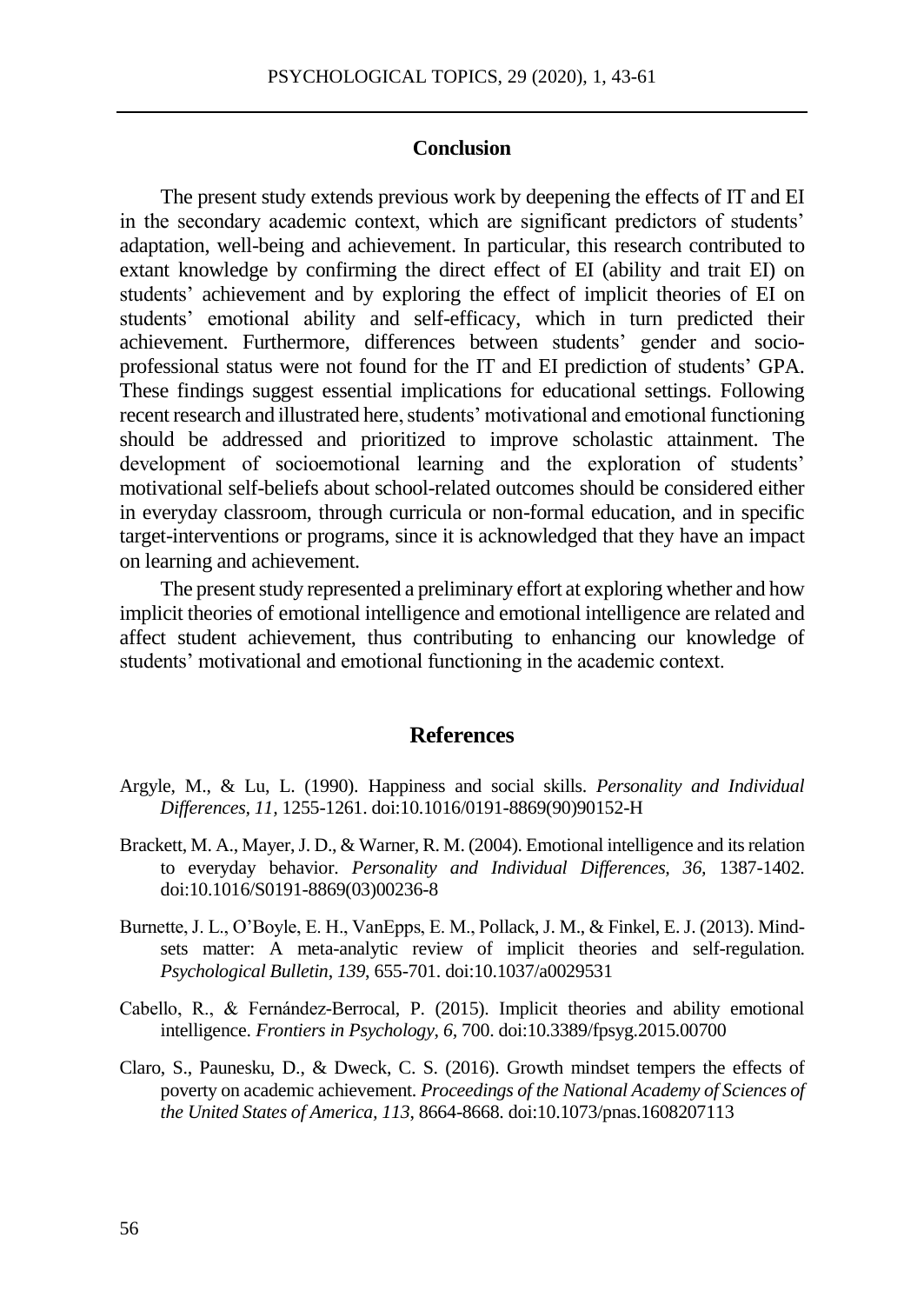# **Conclusion**

The present study extends previous work by deepening the effects of IT and EI in the secondary academic context, which are significant predictors of students' adaptation, well-being and achievement. In particular, this research contributed to extant knowledge by confirming the direct effect of EI (ability and trait EI) on students' achievement and by exploring the effect of implicit theories of EI on students' emotional ability and self-efficacy, which in turn predicted their achievement. Furthermore, differences between students' gender and socioprofessional status were not found for the IT and EI prediction of students' GPA. These findings suggest essential implications for educational settings. Following recent research and illustrated here, students' motivational and emotional functioning should be addressed and prioritized to improve scholastic attainment. The development of socioemotional learning and the exploration of students' motivational self-beliefs about school-related outcomes should be considered either in everyday classroom, through curricula or non-formal education, and in specific target-interventions or programs, since it is acknowledged that they have an impact on learning and achievement.

The present study represented a preliminary effort at exploring whether and how implicit theories of emotional intelligence and emotional intelligence are related and affect student achievement, thus contributing to enhancing our knowledge of students' motivational and emotional functioning in the academic context.

#### **References**

- Argyle, M., & Lu, L. (1990). Happiness and social skills. *Personality and Individual Differences, 11,* 1255-1261. doi:10.1016/0191-8869(90)90152-H
- Brackett, M. A., Mayer, J. D., & Warner, R. M. (2004). Emotional intelligence and its relation to everyday behavior. *Personality and Individual Differences, 36,* 1387-1402. doi:10.1016/S0191-8869(03)00236-8
- Burnette, J. L., O'Boyle, E. H., VanEpps, E. M., Pollack, J. M., & Finkel, E. J. (2013). Mindsets matter: A meta-analytic review of implicit theories and self-regulation. *Psychological Bulletin*, *139*, 655-701. doi:10.1037/a0029531
- Cabello, R., & Fernández-Berrocal, P. (2015). Implicit theories and ability emotional intelligence. *Frontiers in Psychology*, *6,* 700. doi:10.3389/fpsyg.2015.00700
- Claro, S., Paunesku, D., & Dweck, C. S. (2016). Growth mindset tempers the effects of poverty on academic achievement. *Proceedings of the National Academy of Sciences of the United States of America, 113*, 8664-8668. doi:10.1073/pnas.1608207113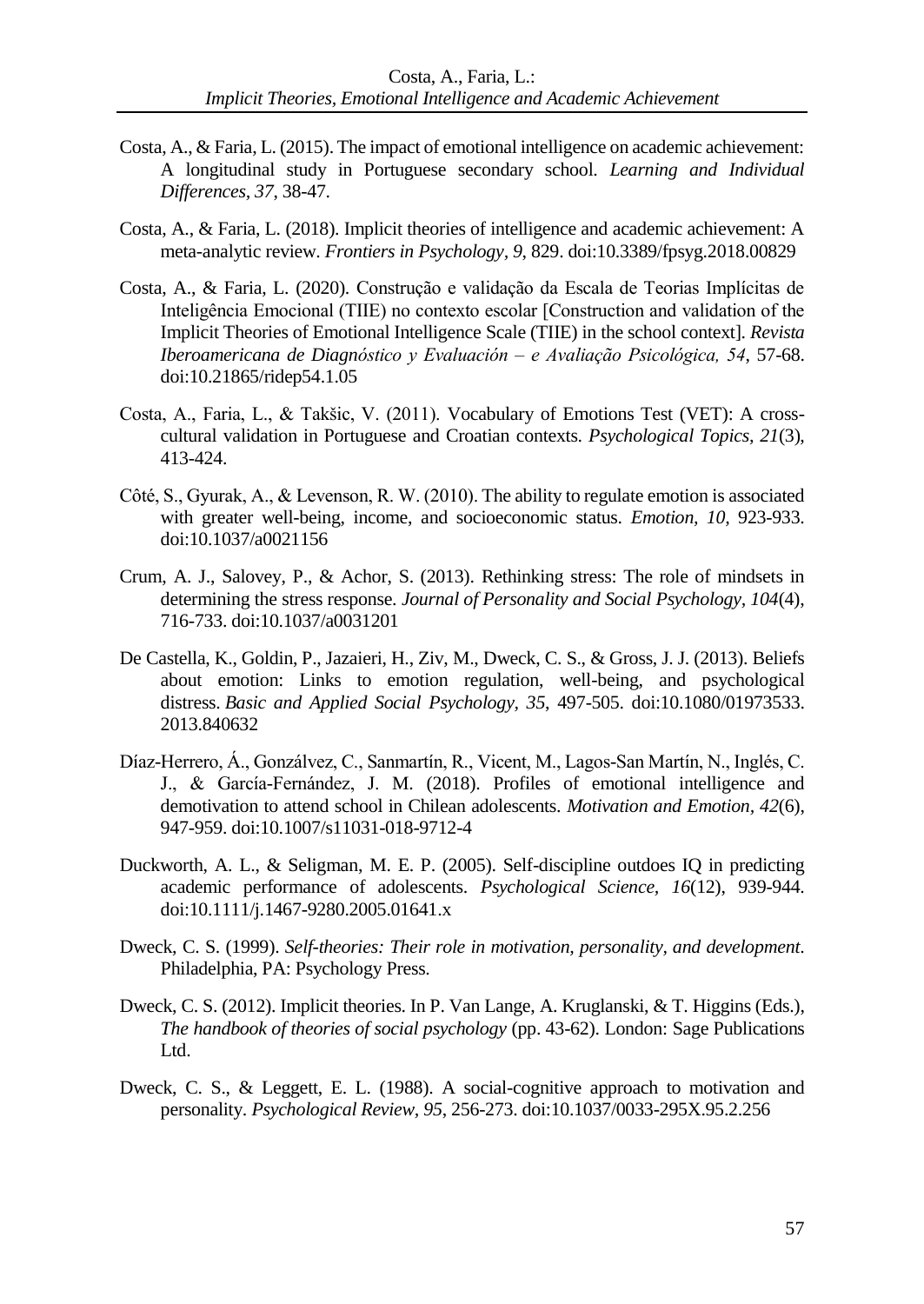- Costa, A., & Faria, L. (2015). The impact of emotional intelligence on academic achievement: A longitudinal study in Portuguese secondary school. *Learning and Individual Differences, 37*, 38-47.
- Costa, A., & Faria, L. (2018). Implicit theories of intelligence and academic achievement: A meta-analytic review. *Frontiers in Psychology, 9*, 829. doi:10.3389/fpsyg.2018.00829
- Costa, A., & Faria, L. (2020). Construção e validação da Escala de Teorias Implícitas de Inteligência Emocional (TIIE) no contexto escolar [Construction and validation of the Implicit Theories of Emotional Intelligence Scale (TIIE) in the school context]. *Revista Iberoamericana de Diagnóstico y Evaluación – e Avaliação Psicológica, 54*, 57-68. doi:10.21865/ridep54.1.05
- Costa, A., Faria, L., & Takšic, V. (2011). Vocabulary of Emotions Test (VET): A crosscultural validation in Portuguese and Croatian contexts. *Psychological Topics, 21*(3), 413-424.
- Côté, S., Gyurak, A., & Levenson, R. W. (2010). The ability to regulate emotion is associated with greater well-being, income, and socioeconomic status. *Emotion, 10,* 923-933. doi:10.1037/a0021156
- Crum, A. J., Salovey, P., & Achor, S. (2013). Rethinking stress: The role of mindsets in determining the stress response. *Journal of Personality and Social Psychology, 104*(4), 716-733. doi:10.1037/a0031201
- De Castella, K., Goldin, P., Jazaieri, H., Ziv, M., Dweck, C. S., & Gross, J. J. (2013). Beliefs about emotion: Links to emotion regulation, well-being, and psychological distress. *Basic and Applied Social Psychology, 35*, 497-505. doi:10.1080/01973533. 2013.840632
- Díaz-Herrero, Á., Gonzálvez, C., Sanmartín, R., Vicent, M., Lagos-San Martín, N., Inglés, C. J., & García-Fernández, J. M. (2018). Profiles of emotional intelligence and demotivation to attend school in Chilean adolescents. *Motivation and Emotion, 42*(6), 947-959. doi:10.1007/s11031-018-9712-4
- Duckworth, A. L., & Seligman, M. E. P. (2005). Self-discipline outdoes IQ in predicting academic performance of adolescents. *Psychological Science, 16*(12), 939-944. doi:10.1111/j.1467-9280.2005.01641.x
- Dweck, C. S. (1999). *Self-theories: Their role in motivation, personality, and development*. Philadelphia, PA: Psychology Press.
- Dweck, C. S. (2012). Implicit theories. In P. Van Lange, A. Kruglanski, & T. Higgins (Eds.), *The handbook of theories of social psychology* (pp. 43-62). London: Sage Publications Ltd.
- Dweck, C. S., & Leggett, E. L. (1988). A social-cognitive approach to motivation and personality. *Psychological Review, 95*, 256-273. doi:10.1037/0033-295X.95.2.256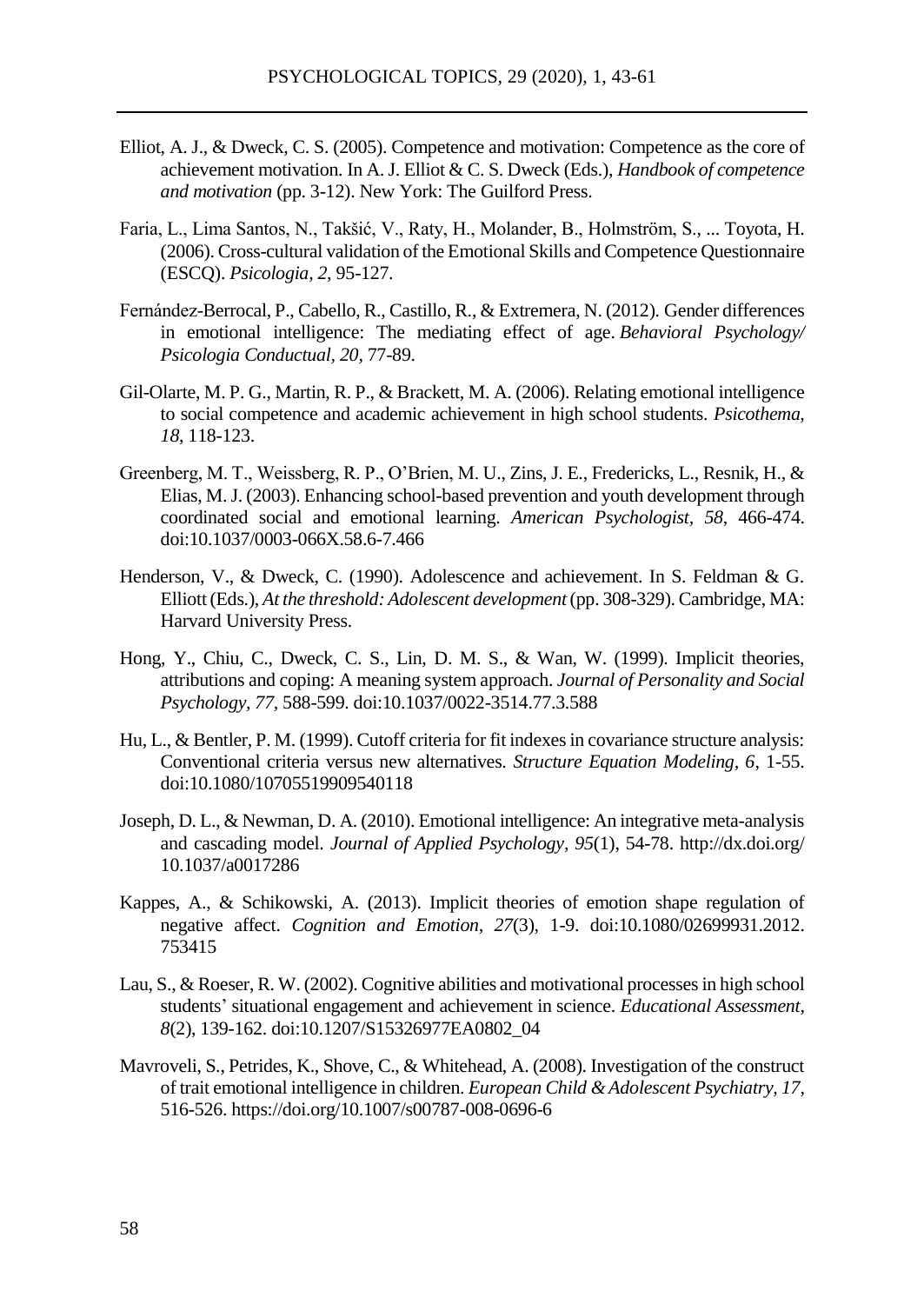- Elliot, A. J., & Dweck, C. S. (2005). Competence and motivation: Competence as the core of achievement motivation. In A. J. Elliot & C. S. Dweck (Eds.), *Handbook of competence and motivation* (pp. 3-12). New York: The Guilford Press.
- Faria, L., Lima Santos, N., Takšić, V., Raty, H., Molander, B., Holmström, S., ... Toyota, H. (2006). Cross-cultural validation of the Emotional Skills and Competence Questionnaire (ESCQ). *Psicologia, 2,* 95-127.
- Fernández-Berrocal, P., Cabello, R., Castillo, R., & Extremera, N. (2012). Gender differences in emotional intelligence: The mediating effect of age. *Behavioral Psychology/ Psicologia Conductual, 20,* 77-89.
- Gil-Olarte, M. P. G., Martin, R. P., & Brackett, M. A. (2006). Relating emotional intelligence to social competence and academic achievement in high school students. *Psicothema, 18*, 118-123.
- Greenberg, M. T., Weissberg, R. P., O'Brien, M. U., Zins, J. E., Fredericks, L., Resnik, H., & Elias, M. J. (2003). Enhancing school-based prevention and youth development through coordinated social and emotional learning. *American Psychologist, 58*, 466-474. doi:10.1037/0003-066X.58.6-7.466
- Henderson, V., & Dweck, C. (1990). Adolescence and achievement. In S. Feldman & G. Elliott (Eds.), *At the threshold: Adolescent development*(pp. 308-329). Cambridge, MA: Harvard University Press.
- Hong, Y., Chiu, C., Dweck, C. S., Lin, D. M. S., & Wan, W. (1999). Implicit theories, attributions and coping: A meaning system approach. *Journal of Personality and Social Psychology, 77,* 588-599. doi:10.1037/0022-3514.77.3.588
- Hu, L., & Bentler, P. M. (1999). Cutoff criteria for fit indexes in covariance structure analysis: Conventional criteria versus new alternatives. *Structure Equation Modeling, 6*, 1-55. doi:10.1080/10705519909540118
- Joseph, D. L., & Newman, D. A. (2010). Emotional intelligence: An integrative meta-analysis and cascading model. *Journal of Applied Psychology*, *95*(1), 54-78. http://dx.doi.org/ 10.1037/a0017286
- Kappes, A., & Schikowski, A. (2013). Implicit theories of emotion shape regulation of negative affect. *Cognition and Emotion, 27*(3), 1-9. doi:10.1080/02699931.2012. 753415
- Lau, S., & Roeser, R. W. (2002). Cognitive abilities and motivational processes in high school students' situational engagement and achievement in science. *Educational Assessment, 8*(2), 139-162. doi:10.1207/S15326977EA0802\_04
- Mavroveli, S., Petrides, K., Shove, C., & Whitehead, A. (2008). Investigation of the construct of trait emotional intelligence in children. *European Child & Adolescent Psychiatry, 17,* 516-526. https://doi.org/10.1007/s00787-008-0696-6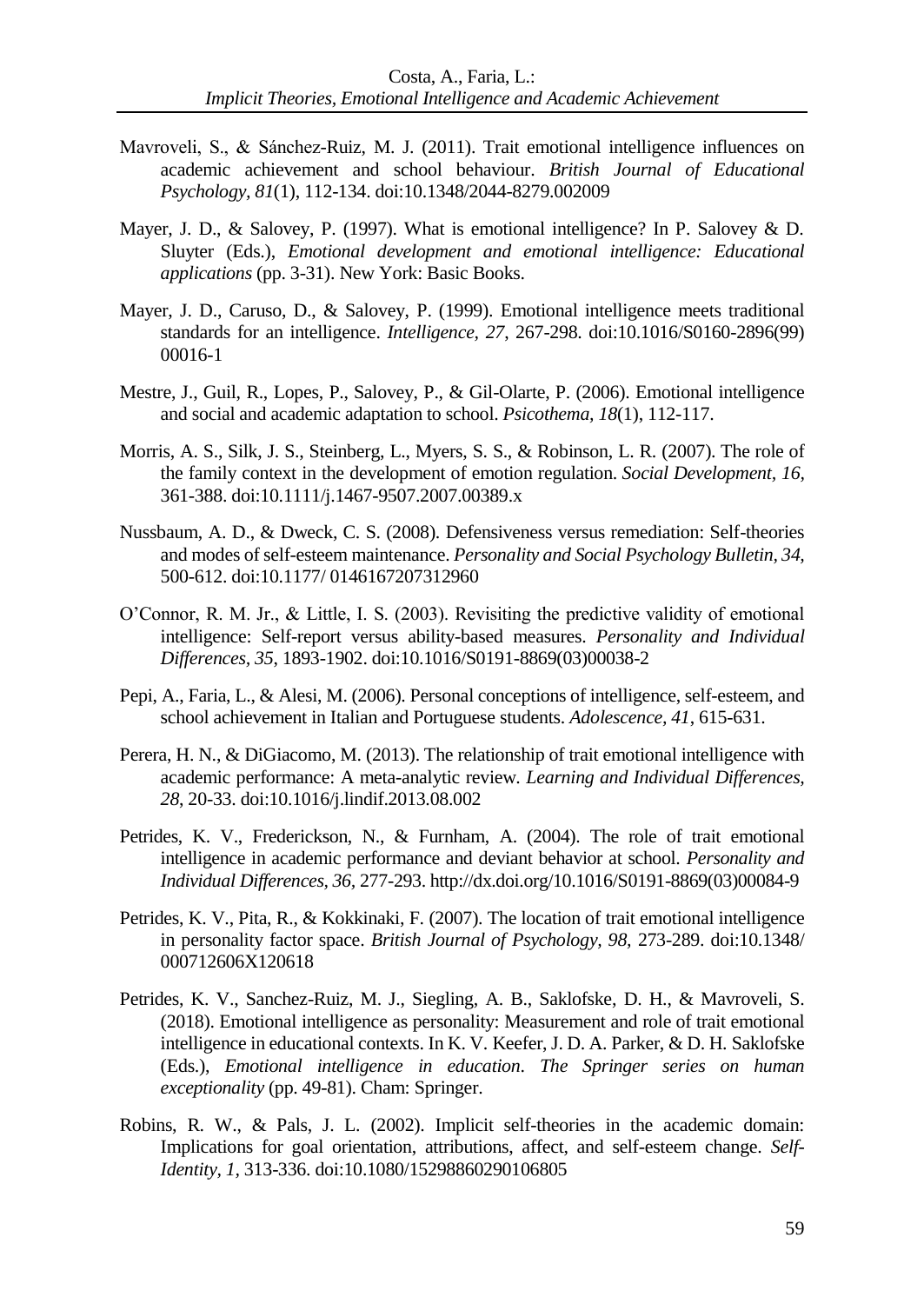- Mavroveli, S., & Sánchez-Ruiz, M. J. (2011). Trait emotional intelligence influences on academic achievement and school behaviour. *British Journal of Educational Psychology, 81*(1), 112-134. doi:10.1348/2044-8279.002009
- Mayer, J. D., & Salovey, P. (1997). What is emotional intelligence? In P. Salovey & D. Sluyter (Eds.), *Emotional development and emotional intelligence: Educational applications* (pp. 3-31). New York: Basic Books.
- Mayer, J. D., Caruso, D., & Salovey, P. (1999). Emotional intelligence meets traditional standards for an intelligence. *Intelligence, 27*, 267-298. doi:10.1016/S0160-2896(99) 00016-1
- Mestre, J., Guil, R., Lopes, P., Salovey, P., & Gil-Olarte, P. (2006). Emotional intelligence and social and academic adaptation to school. *Psicothema, 18*(1), 112-117.
- Morris, A. S., Silk, J. S., Steinberg, L., Myers, S. S., & Robinson, L. R. (2007). The role of the family context in the development of emotion regulation. *Social Development, 16,* 361-388. doi:10.1111/j.1467-9507.2007.00389.x
- Nussbaum, A. D., & Dweck, C. S. (2008). Defensiveness versus remediation: Self-theories and modes of self-esteem maintenance. *Personality and Social Psychology Bulletin, 34,* 500-612. doi:10.1177/ 0146167207312960
- O'Connor, R. M. Jr., & Little, I. S. (2003). Revisiting the predictive validity of emotional intelligence: Self-report versus ability-based measures. *Personality and Individual Differences, 35*, 1893-1902. doi:10.1016/S0191-8869(03)00038-2
- Pepi, A., Faria, L., & Alesi, M. (2006). Personal conceptions of intelligence, self-esteem, and school achievement in Italian and Portuguese students. *Adolescence, 41*, 615-631.
- Perera, H. N., & DiGiacomo, M. (2013). The relationship of trait emotional intelligence with academic performance: A meta-analytic review. *Learning and Individual Differences, 28*, 20-33. doi:10.1016/j.lindif.2013.08.002
- Petrides, K. V., Frederickson, N., & Furnham, A. (2004). The role of trait emotional intelligence in academic performance and deviant behavior at school. *Personality and Individual Differences, 36,* 277-293. http://dx.doi.org/10.1016/S0191-8869(03)00084-9
- Petrides, K. V., Pita, R., & Kokkinaki, F. (2007). The location of trait emotional intelligence in personality factor space. *British Journal of Psychology, 98,* 273-289. doi:10.1348/ 000712606X120618
- Petrides, K. V., Sanchez-Ruiz, M. J., Siegling, A. B., Saklofske, D. H., & Mavroveli, S. (2018). Emotional intelligence as personality: Measurement and role of trait emotional intelligence in educational contexts. In K. V. Keefer, J. D. A. Parker, & D. H. Saklofske (Eds.), *Emotional intelligence in education*. *The Springer series on human exceptionality* (pp. 49-81). Cham: Springer.
- Robins, R. W., & Pals, J. L. (2002). Implicit self-theories in the academic domain: Implications for goal orientation, attributions, affect, and self-esteem change. *Self-Identity, 1,* 313-336. doi:10.1080/15298860290106805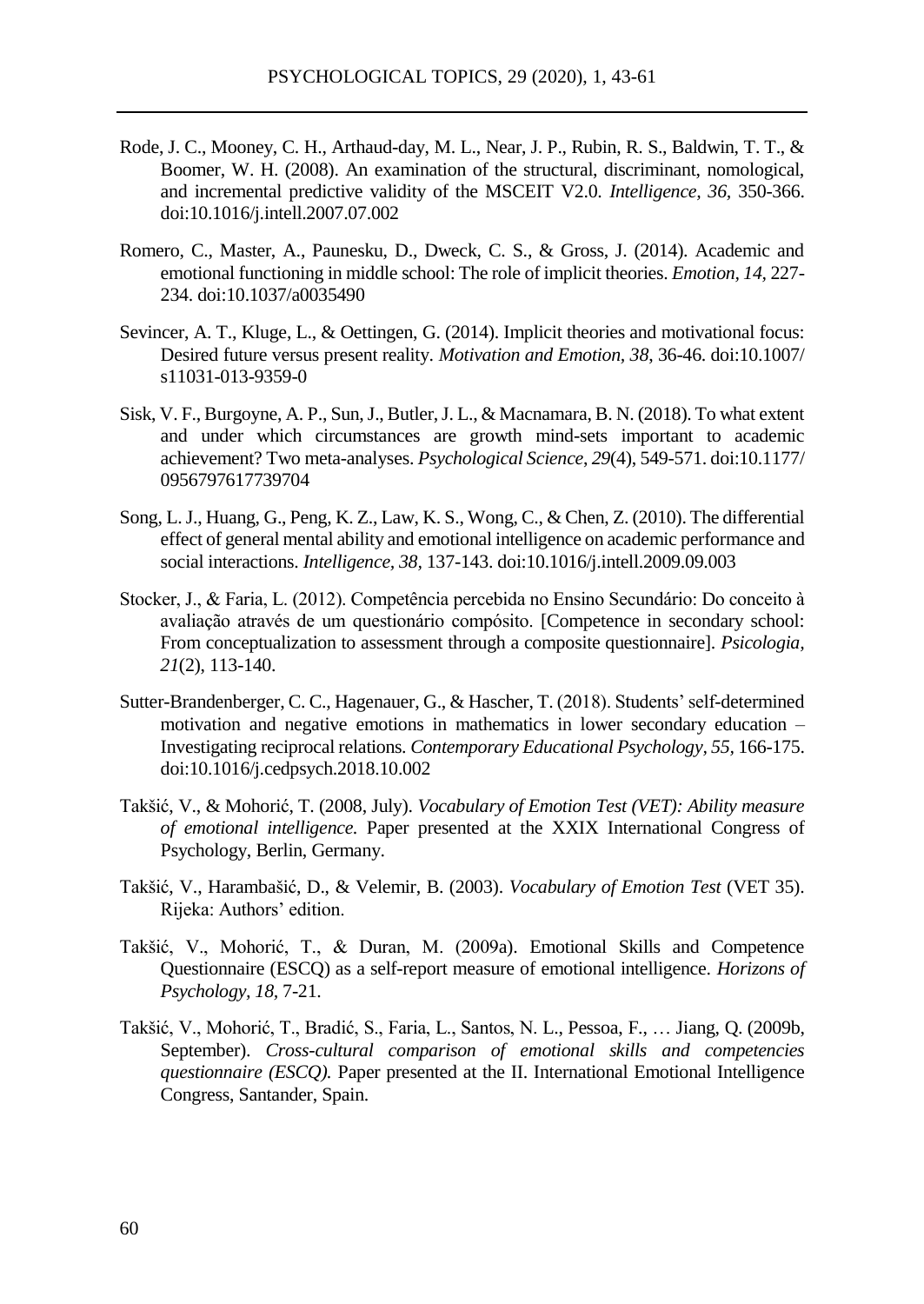- Rode, J. C., Mooney, C. H., Arthaud-day, M. L., Near, J. P., Rubin, R. S., Baldwin, T. T., & Boomer, W. H. (2008). An examination of the structural, discriminant, nomological, and incremental predictive validity of the MSCEIT V2.0. *Intelligence, 36,* 350-366. doi:10.1016/j.intell.2007.07.002
- Romero, C., Master, A., Paunesku, D., Dweck, C. S., & Gross, J. (2014). Academic and emotional functioning in middle school: The role of implicit theories. *Emotion, 14,* 227- 234. doi:10.1037/a0035490
- Sevincer, A. T., Kluge, L., & Oettingen, G. (2014). Implicit theories and motivational focus: Desired future versus present reality. *Motivation and Emotion, 38*, 36-46. doi:10.1007/ s11031-013-9359-0
- Sisk, V. F., Burgoyne, A. P., Sun, J., Butler, J. L., & Macnamara, B. N. (2018). To what extent and under which circumstances are growth mind-sets important to academic achievement? Two meta-analyses. *Psychological Science*, *29*(4), 549-571. doi:10.1177/ 0956797617739704
- Song, L. J., Huang, G., Peng, K. Z., Law, K. S., Wong, C., & Chen, Z. (2010). The differential effect of general mental ability and emotional intelligence on academic performance and social interactions. *Intelligence, 38,* 137-143. doi:10.1016/j.intell.2009.09.003
- Stocker, J., & Faria, L. (2012). Competência percebida no Ensino Secundário: Do conceito à avaliação através de um questionário compósito. [Competence in secondary school: From conceptualization to assessment through a composite questionnaire]. *Psicologia, 21*(2), 113-140.
- Sutter-Brandenberger, C. C., Hagenauer, G., & Hascher, T. (2018). Students' self-determined motivation and negative emotions in mathematics in lower secondary education – Investigating reciprocal relations. *Contemporary Educational Psychology, 55,* 166-175. doi:10.1016/j.cedpsych.2018.10.002
- Takšić, V., & Mohorić, T. (2008, July). *Vocabulary of Emotion Test (VET): Ability measure of emotional intelligence.* Paper presented at the XXIX International Congress of Psychology, Berlin, Germany.
- Takšić, V., Harambašić, D., & Velemir, B. (2003). *Vocabulary of Emotion Test* (VET 35). Rijeka: Authors' edition.
- Takšić, V., Mohorić, T., & Duran, M. (2009a). Emotional Skills and Competence Questionnaire (ESCQ) as a self-report measure of emotional intelligence. *Horizons of Psychology, 18,* 7-21.
- Takšić, V., Mohorić, T., Bradić, S., Faria, L., Santos, N. L., Pessoa, F., … Jiang, Q. (2009b, September). *Cross-cultural comparison of emotional skills and competencies questionnaire (ESCQ).* Paper presented at the II. International Emotional Intelligence Congress, Santander, Spain.